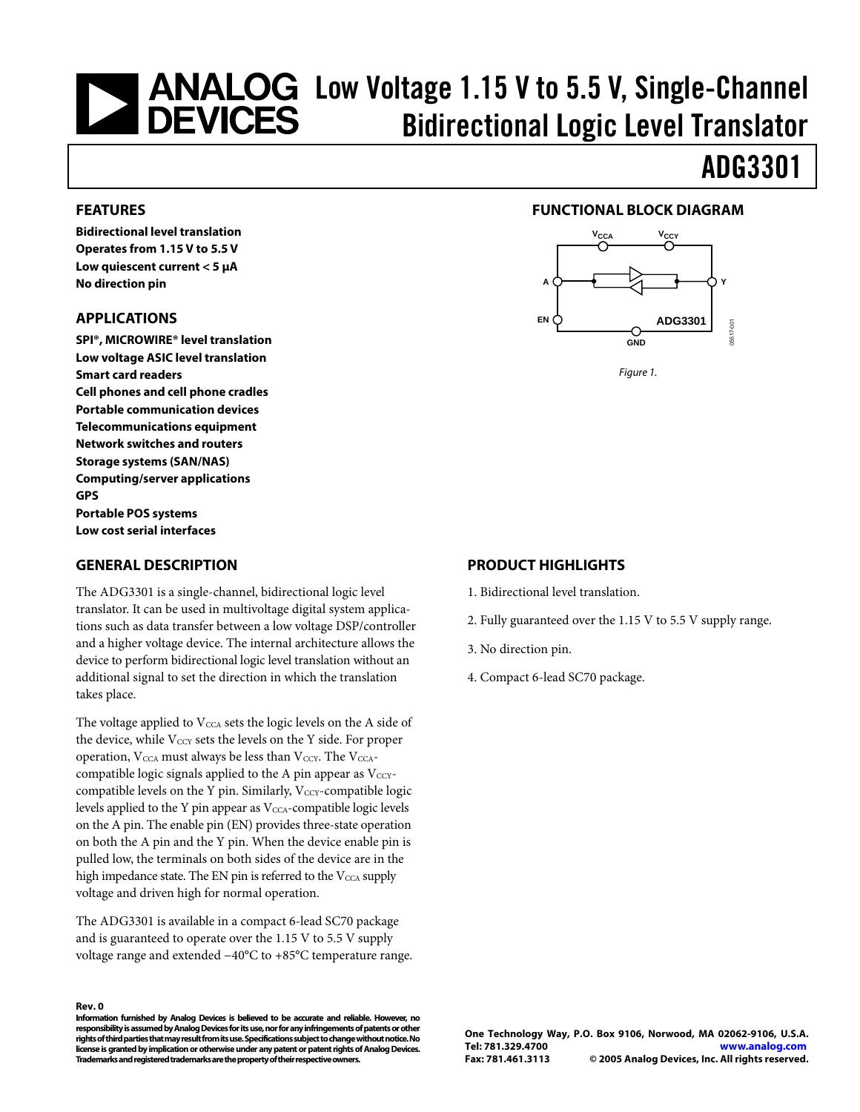# <span id="page-0-0"></span>**Low Voltage 1.15 V to 5.5 V, Single-Channel Concerns Concernsive Concernsive Concernsive Concernsive Concernsive Concernsive Concernsive Concernsive Concernsive Concernsive Concernsive Concernsive Concernsive Concernsive** Bidirectional Logic Level Translator

# ADG3301

#### **FEATURES**

**Bidirectional level translation Operates from 1.15 V to 5.5 V Low quiescent current < 5 µA No direction pin** 

#### **APPLICATIONS**

**SPI®, MICROWIRE® level translation Low voltage ASIC level translation Smart card readers Cell phones and cell phone cradles Portable communication devices Telecommunications equipment Network switches and routers Storage systems (SAN/NAS) Computing/server applications GPS Portable POS systems Low cost serial interfaces** 

#### **GENERAL DESCRIPTION**

The ADG3301 is a single-channel, bidirectional logic level translator. It can be used in multivoltage digital system applications such as data transfer between a low voltage DSP/controller and a higher voltage device. The internal architecture allows the device to perform bidirectional logic level translation without an additional signal to set the direction in which the translation takes place.

The voltage applied to  $V_{\text{CCA}}$  sets the logic levels on the A side of the device, while  $V_{\text{CCY}}$  sets the levels on the Y side. For proper operation,  $V_{\text{CCA}}$  must always be less than  $V_{\text{CCY}}$ . The  $V_{\text{CCA}}$ compatible logic signals applied to the A pin appear as  $V_{\text{CCY}}$ compatible levels on the Y pin. Similarly,  $V_{\text{CCY}}$ -compatible logic levels applied to the Y pin appear as  $V_{\text{CCA}}$ -compatible logic levels on the A pin. The enable pin (EN) provides three-state operation on both the A pin and the Y pin. When the device enable pin is pulled low, the terminals on both sides of the device are in the high impedance state. The EN pin is referred to the  $V_{\text{CCA}}$  supply voltage and driven high for normal operation.

The ADG3301 is available in a compact 6-lead SC70 package and is guaranteed to operate over the 1.15 V to 5.5 V supply voltage range and extended −40°C to +85°C temperature range.

#### **Rev. 0**

**Information furnished by Analog Devices is believed to be accurate and reliable. However, no** responsibility is assumed by Analog Devices for its use, nor for any infringements of patents or other rights of third parties that may result from its use. Specifications subject to change without notice. No **license isgranted by implicationorotherwise under any patentor patent rightsof AnalogDevices. Trademarks and registeredtrademarks arethe property oftheir respective owners.**

### **FUNCTIONAL BLOCK DIAGRAM**



Figure 1.

#### **PRODUCT HIGHLIGHTS**

- 1. Bidirectional level translation.
- 2. Fully guaranteed over the 1.15 V to 5.5 V supply range.
- 3. No direction pin.
- 4. Compact 6-lead SC70 package.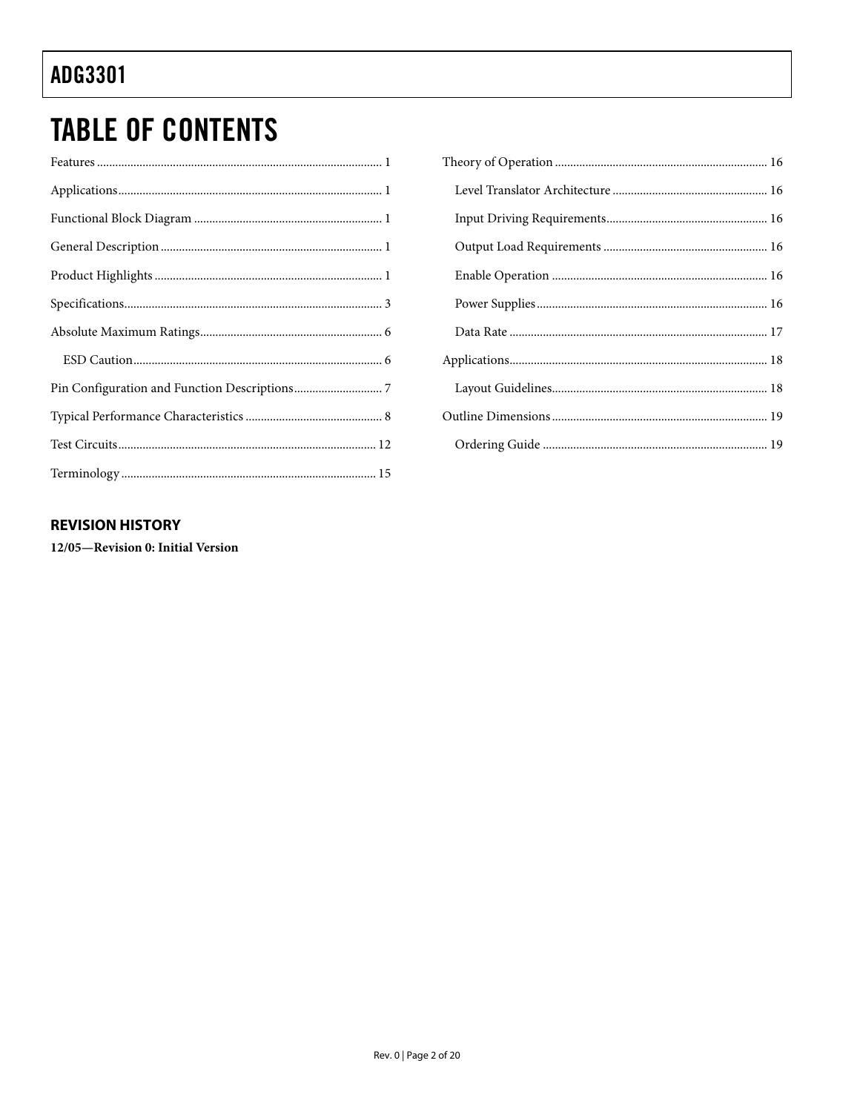# **TABLE OF CONTENTS**

### 

### **REVISION HISTORY**

12/05-Revision 0: Initial Version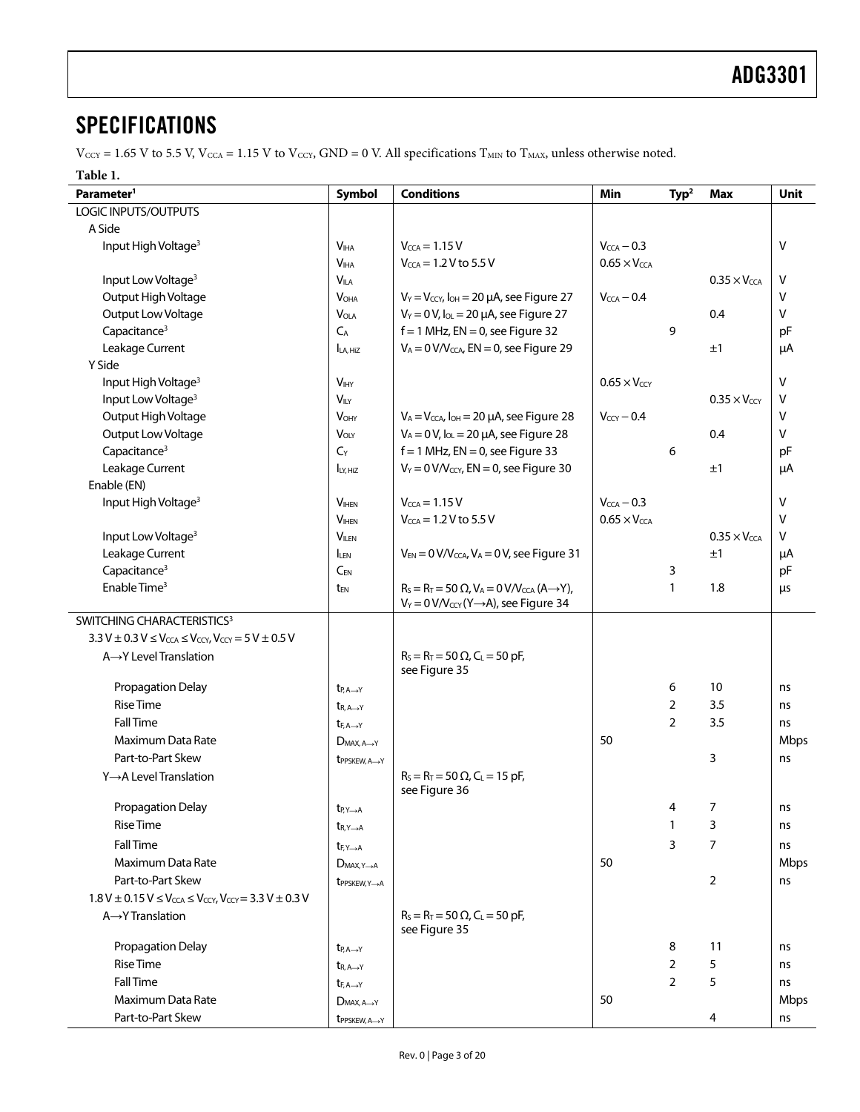### <span id="page-2-0"></span>**SPECIFICATIONS**

 $V_{\text{CCY}} = 1.65 \text{ V}$  to 5.5 V,  $V_{\text{CCA}} = 1.15 \text{ V}$  to  $V_{\text{CCY}}$ ,  $\text{GND} = 0 \text{ V}$ . All specifications  $T_{\text{MIN}}$  to  $T_{\text{MAX}}$ , unless otherwise noted.

#### <span id="page-2-2"></span><span id="page-2-1"></span>**Table 1.**

| Parameter <sup>1</sup>                                                                                                          | <b>Symbol</b>                    | <b>Conditions</b>                                                  | Min                          | Type <sup>2</sup> | <b>Max</b>                   | Unit        |
|---------------------------------------------------------------------------------------------------------------------------------|----------------------------------|--------------------------------------------------------------------|------------------------------|-------------------|------------------------------|-------------|
| LOGIC INPUTS/OUTPUTS                                                                                                            |                                  |                                                                    |                              |                   |                              |             |
| A Side                                                                                                                          |                                  |                                                                    |                              |                   |                              |             |
| Input High Voltage <sup>3</sup>                                                                                                 | <b>V<sub>IHA</sub></b>           | $V_{\text{CCA}} = 1.15 V$                                          | $V_{\text{CCA}}$ $-$ 0.3     |                   |                              | v           |
|                                                                                                                                 | V <sub>IHA</sub>                 | $V_{\text{CCA}} = 1.2 V$ to 5.5 V                                  | $0.65 \times V_{\text{CCA}}$ |                   |                              |             |
| Input Low Voltage <sup>3</sup>                                                                                                  | <b>VILA</b>                      |                                                                    |                              |                   | $0.35 \times V_{\text{CCA}}$ | v           |
| Output High Voltage                                                                                                             | <b>V<sub>OHA</sub></b>           | $V_Y = V_{CCY}$ , $I_{OH} = 20 \mu A$ , see Figure 27              | $V_{\text{CCA}} - 0.4$       |                   |                              | V           |
| Output Low Voltage                                                                                                              | <b>VOLA</b>                      | $V_Y = 0 V$ , $I_{OL} = 20 \mu A$ , see Figure 27                  |                              |                   | 0.4                          | v           |
| Capacitance <sup>3</sup>                                                                                                        | $C_A$                            | $f = 1$ MHz, EN = 0, see Figure 32                                 |                              | 9                 |                              | pF          |
| Leakage Current                                                                                                                 | LA, HiZ                          | $V_A = 0 V/V_{CCA}$ , EN = 0, see Figure 29                        |                              |                   | ±1                           | μA          |
| Y Side                                                                                                                          |                                  |                                                                    |                              |                   |                              |             |
| Input High Voltage <sup>3</sup>                                                                                                 | <b>V<sub>IHY</sub></b>           |                                                                    | $0.65 \times V_{\text{cav}}$ |                   |                              | v           |
| Input Low Voltage <sup>3</sup>                                                                                                  | $V_{\text{ILY}}$                 |                                                                    |                              |                   | $0.35 \times V_{CCY}$        | v           |
| Output High Voltage                                                                                                             | <b>VOHY</b>                      | $V_A = V_{CCA}$ , $I_{OH} = 20 \mu A$ , see Figure 28              | $V_{CCY} - 0.4$              |                   |                              | v           |
| Output Low Voltage                                                                                                              | <b>VOLY</b>                      | $V_A = 0 V$ , $I_{OL} = 20 \mu A$ , see Figure 28                  |                              |                   | 0.4                          | v           |
| Capacitance <sup>3</sup>                                                                                                        | $C_Y$                            | $f = 1$ MHz, EN = 0, see Figure 33                                 |                              | 6                 |                              | pF          |
| Leakage Current                                                                                                                 | LY, HiZ                          | $V_Y = 0$ V/Vccy, EN = 0, see Figure 30                            |                              |                   | ±1                           | μA          |
| Enable (EN)                                                                                                                     |                                  |                                                                    |                              |                   |                              |             |
| Input High Voltage <sup>3</sup>                                                                                                 | <b>VIHEN</b>                     | $V_{\text{CCA}} = 1.15 V$                                          | $V_{CCA}$ - 0.3              |                   |                              | v           |
|                                                                                                                                 | V <sub>HEN</sub>                 | $V_{\text{CCA}} = 1.2 V$ to 5.5 V                                  | $0.65 \times V_{\text{CCA}}$ |                   |                              | v           |
| Input Low Voltage <sup>3</sup>                                                                                                  | <b>VILEN</b>                     |                                                                    |                              |                   | $0.35 \times V_{CCA}$        | v           |
| Leakage Current                                                                                                                 | <b>ILEN</b>                      | $V_{EN} = 0 V/V_{CCA}$ , $V_A = 0 V$ , see Figure 31               |                              |                   | ±1                           | μA          |
| Capacitance <sup>3</sup>                                                                                                        | $C_{EN}$                         |                                                                    |                              | 3                 |                              | pF          |
| Enable Time <sup>3</sup>                                                                                                        | t <sub>EN</sub>                  | $R_S = R_T = 50 \Omega$ , $V_A = 0 V/V_{CCA} (A \rightarrow Y)$ ,  |                              | 1                 | 1.8                          | μs          |
|                                                                                                                                 |                                  | $V_Y = 0 V/V_{CCY} (Y \rightarrow A)$ , see Figure 34              |                              |                   |                              |             |
| SWITCHING CHARACTERISTICS <sup>3</sup>                                                                                          |                                  |                                                                    |                              |                   |                              |             |
| $3.3 \text{ V} \pm 0.3 \text{ V} \leq V_{\text{CCA}} \leq V_{\text{CCY}}$ , $V_{\text{CCY}} = 5 \text{ V} \pm 0.5 \text{ V}$    |                                  |                                                                    |                              |                   |                              |             |
| A→Y Level Translation                                                                                                           |                                  | $R_S = R_T = 50 \Omega$ , C <sub>L</sub> = 50 pF,<br>see Figure 35 |                              |                   |                              |             |
| Propagation Delay                                                                                                               | $t_{P, A \rightarrow Y}$         |                                                                    |                              | 6                 | 10                           | ns          |
| <b>Rise Time</b>                                                                                                                | $t_{R, A \rightarrow Y}$         |                                                                    |                              | 2                 | 3.5                          | ns          |
| <b>Fall Time</b>                                                                                                                | $t_{F, A \rightarrow Y}$         |                                                                    |                              | $\overline{2}$    | 3.5                          | ns          |
| Maximum Data Rate                                                                                                               | $D_{MAX.A \rightarrow Y}$        |                                                                    | 50                           |                   |                              | Mbps        |
| Part-to-Part Skew                                                                                                               | t <sub>PPSKEW</sub> , A-Y        |                                                                    |                              |                   | 3                            | ns          |
| Y→A Level Translation                                                                                                           |                                  | $R_S = R_T = 50 \Omega$ , C <sub>L</sub> = 15 pF,<br>see Figure 36 |                              |                   |                              |             |
| <b>Propagation Delay</b>                                                                                                        | $t_{P,Y\rightarrow A}$           |                                                                    |                              | 4                 | 7                            | ns          |
| <b>Rise Time</b>                                                                                                                | $t_{R, Y \rightarrow A}$         |                                                                    |                              | 1                 | 3                            | ns          |
| <b>Fall Time</b>                                                                                                                | $t_{F,Y\rightarrow A}$           |                                                                    |                              | 3                 | 7                            | ns          |
| Maximum Data Rate                                                                                                               | $D_{MAX, Y \rightarrow A}$       |                                                                    | 50                           |                   |                              | <b>Mbps</b> |
| Part-to-Part Skew                                                                                                               | t <sub>PPSKEW, Y-A</sub>         |                                                                    |                              |                   | 2                            | ns          |
| $1.8 \text{ V} \pm 0.15 \text{ V} \leq V_{\text{CCA}} \leq V_{\text{CCY}}$ , $V_{\text{CCY}} = 3.3 \text{ V} \pm 0.3 \text{ V}$ |                                  |                                                                    |                              |                   |                              |             |
| $A \rightarrow Y$ Translation                                                                                                   |                                  | $R_S = R_T = 50 \Omega$ , C <sub>L</sub> = 50 pF,<br>see Figure 35 |                              |                   |                              |             |
| Propagation Delay                                                                                                               | $t_{P, A \rightarrow Y}$         |                                                                    |                              | 8                 | 11                           | ns          |
| <b>Rise Time</b>                                                                                                                | $t_{R, A \rightarrow Y}$         |                                                                    |                              | $\overline{2}$    | 5                            | ns          |
| <b>Fall Time</b>                                                                                                                | $t_{F, A \rightarrow Y}$         |                                                                    |                              | $\overline{2}$    | 5                            | ns          |
| Maximum Data Rate                                                                                                               | $D_{MAX, A \rightarrow Y}$       |                                                                    | 50                           |                   |                              | Mbps        |
| Part-to-Part Skew                                                                                                               | <b>t</b> PPSKEW, A <sub>-Y</sub> |                                                                    |                              |                   | 4                            | ns          |
|                                                                                                                                 |                                  |                                                                    |                              |                   |                              |             |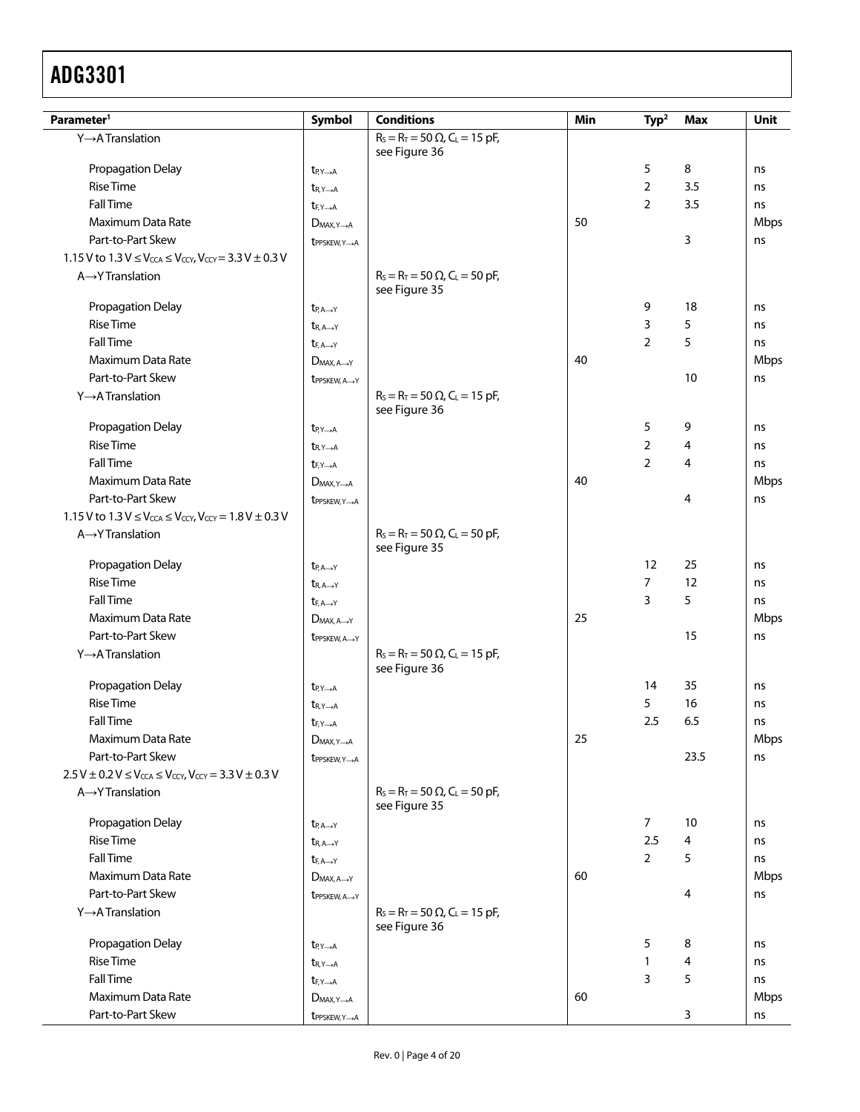| $R_S = R_T = 50 \Omega$ , C <sub>L</sub> = 15 pF,<br>Y→A Translation<br>see Figure 36<br>5<br>Propagation Delay<br>8<br>ns<br>$t_{P,Y\rightarrow A}$<br><b>Rise Time</b><br>$\overline{2}$<br>3.5<br>ns<br>$t_{R, Y \rightarrow A}$<br><b>Fall Time</b><br>2<br>3.5<br>ns<br>$t_{F,Y\rightarrow A}$<br>Maximum Data Rate<br>50<br><b>Mbps</b><br>$D_{MAX.Y\rightarrow A}$<br>Part-to-Part Skew<br>3<br>ns<br>$tpPSKEW, Y \rightarrow A$<br>1.15 V to $1.3$ V $\leq$ V <sub>CCA</sub> $\leq$ V <sub>CCY</sub> , V <sub>CCY</sub> = 3.3 V $\pm$ 0.3 V<br>A→Y Translation<br>$R_S = R_T = 50 \Omega$ , C <sub>L</sub> = 50 pF,<br>see Figure 35<br>Propagation Delay<br>18<br>9<br>ns<br>$t_{P, A \rightarrow Y}$<br><b>Rise Time</b><br>3<br>5<br>ns<br>$t_{R, A \rightarrow Y}$<br><b>Fall Time</b><br>$\overline{2}$<br>5<br>ns<br>$t_{F, A \rightarrow Y}$<br>Maximum Data Rate<br>40<br>Mbps<br>$D_{MAX.A \rightarrow Y}$<br>Part-to-Part Skew<br>10<br>ns<br>t <sub>PPSKEW</sub> , A-Y<br>Y→A Translation<br>$R_S = R_T = 50 \Omega$ , C <sub>L</sub> = 15 pF,<br>see Figure 36<br>5<br>Propagation Delay<br>9<br>ns<br>$t_{P,Y\rightarrow A}$<br><b>Rise Time</b><br>$\overline{2}$<br>4<br>ns<br>$t_{R, Y \rightarrow A}$<br><b>Fall Time</b><br>$\overline{2}$<br>4<br>ns<br>$t_{F,Y\rightarrow A}$<br>Maximum Data Rate<br>40<br>Mbps<br>$D_{MAX,Y\rightarrow A}$<br>Part-to-Part Skew<br>4<br>ns<br>$tpPSKEW, Y \rightarrow A$<br>1.15 V to $1.3 V \le V_{\text{CCA}} \le V_{\text{CCY}}$ , $V_{\text{CCY}} = 1.8 V \pm 0.3 V$<br>$R_S = R_T = 50 \Omega$ , C <sub>L</sub> = 50 pF,<br>$A \rightarrow Y$ Translation<br>see Figure 35<br>Propagation Delay<br>12<br>25<br>ns<br>$t_{P, A \rightarrow Y}$<br><b>Rise Time</b><br>7<br>12<br>ns<br>$t_{R, A \rightarrow Y}$<br><b>Fall Time</b><br>5<br>3<br>ns<br>$t_{F, A \rightarrow Y}$<br>Maximum Data Rate<br>25<br>Mbps<br>$D_{MAX.A \rightarrow Y}$<br>Part-to-Part Skew<br>15<br>ns<br>t <sub>PPSKEW</sub> , A-Y<br>Y→A Translation<br>$R_S = R_T = 50 \Omega$ , C <sub>L</sub> = 15 pF,<br>see Figure 36<br>Propagation Delay<br>14<br>35<br>ns<br>$t_{P,Y\rightarrow A}$<br><b>Rise Time</b><br>5<br>16<br>ns<br>$t_{R, Y \rightarrow A}$<br><b>Fall Time</b><br>2.5<br>6.5<br>ns<br>$t_{F,Y\rightarrow A}$<br>Maximum Data Rate<br>25<br>Mbps<br>$D_{MAX, Y \rightarrow A}$<br>Part-to-Part Skew<br>23.5<br>ns<br>t <sub>PPSKEW, Y-A</sub><br>$2.5 V \pm 0.2 V \leq V_{\text{CCA}} \leq V_{\text{CCY}}$ , $V_{\text{CCY}} = 3.3 V \pm 0.3 V$<br>$R_S = R_T = 50 \Omega$ , C <sub>L</sub> = 50 pF,<br>A→Y Translation<br>see Figure 35<br>Propagation Delay<br>$\overline{7}$<br>10<br>ns<br>$t_{P, A \rightarrow Y}$<br><b>Rise Time</b><br>2.5<br>4<br>$t_{R, A \rightarrow Y}$<br>ns<br><b>Fall Time</b><br>$\overline{2}$<br>5<br>ns<br>$t_{F, A \rightarrow Y}$<br>Maximum Data Rate<br>Mbps<br>60<br>$D_{MAX, A \rightarrow Y}$<br>Part-to-Part Skew<br>4<br>ns<br>t <sub>PPSKEW</sub> , A-Y<br>$R_S = R_T = 50 \Omega$ , C <sub>L</sub> = 15 pF,<br>Y→A Translation<br>see Figure 36<br>5<br>8<br>Propagation Delay<br>ns<br>$t_{P,Y\rightarrow A}$<br><b>Rise Time</b><br>4<br>$\mathbf{1}$<br>$t_{R, Y \rightarrow A}$<br>ns<br><b>Fall Time</b><br>5<br>3<br>ns<br>$t_{F,Y\rightarrow A}$<br>Maximum Data Rate<br>60<br>Mbps<br>$D_{MAX,Y\rightarrow A}$ | Parameter <sup>1</sup> | Symbol                        | <b>Conditions</b> | Min | Type <sup>2</sup> | <b>Max</b> | <b>Unit</b> |
|-------------------------------------------------------------------------------------------------------------------------------------------------------------------------------------------------------------------------------------------------------------------------------------------------------------------------------------------------------------------------------------------------------------------------------------------------------------------------------------------------------------------------------------------------------------------------------------------------------------------------------------------------------------------------------------------------------------------------------------------------------------------------------------------------------------------------------------------------------------------------------------------------------------------------------------------------------------------------------------------------------------------------------------------------------------------------------------------------------------------------------------------------------------------------------------------------------------------------------------------------------------------------------------------------------------------------------------------------------------------------------------------------------------------------------------------------------------------------------------------------------------------------------------------------------------------------------------------------------------------------------------------------------------------------------------------------------------------------------------------------------------------------------------------------------------------------------------------------------------------------------------------------------------------------------------------------------------------------------------------------------------------------------------------------------------------------------------------------------------------------------------------------------------------------------------------------------------------------------------------------------------------------------------------------------------------------------------------------------------------------------------------------------------------------------------------------------------------------------------------------------------------------------------------------------------------------------------------------------------------------------------------------------------------------------------------------------------------------------------------------------------------------------------------------------------------------------------------------------------------------------------------------------------------------------------------------------------------------------------------------------------------------------------------------------------------------------------------------------------------------------------------------------------------------------------------------------------------------------------------------------------------------------------------------------------------------------------|------------------------|-------------------------------|-------------------|-----|-------------------|------------|-------------|
|                                                                                                                                                                                                                                                                                                                                                                                                                                                                                                                                                                                                                                                                                                                                                                                                                                                                                                                                                                                                                                                                                                                                                                                                                                                                                                                                                                                                                                                                                                                                                                                                                                                                                                                                                                                                                                                                                                                                                                                                                                                                                                                                                                                                                                                                                                                                                                                                                                                                                                                                                                                                                                                                                                                                                                                                                                                                                                                                                                                                                                                                                                                                                                                                                                                                                                                                     |                        |                               |                   |     |                   |            |             |
|                                                                                                                                                                                                                                                                                                                                                                                                                                                                                                                                                                                                                                                                                                                                                                                                                                                                                                                                                                                                                                                                                                                                                                                                                                                                                                                                                                                                                                                                                                                                                                                                                                                                                                                                                                                                                                                                                                                                                                                                                                                                                                                                                                                                                                                                                                                                                                                                                                                                                                                                                                                                                                                                                                                                                                                                                                                                                                                                                                                                                                                                                                                                                                                                                                                                                                                                     |                        |                               |                   |     |                   |            |             |
|                                                                                                                                                                                                                                                                                                                                                                                                                                                                                                                                                                                                                                                                                                                                                                                                                                                                                                                                                                                                                                                                                                                                                                                                                                                                                                                                                                                                                                                                                                                                                                                                                                                                                                                                                                                                                                                                                                                                                                                                                                                                                                                                                                                                                                                                                                                                                                                                                                                                                                                                                                                                                                                                                                                                                                                                                                                                                                                                                                                                                                                                                                                                                                                                                                                                                                                                     |                        |                               |                   |     |                   |            |             |
|                                                                                                                                                                                                                                                                                                                                                                                                                                                                                                                                                                                                                                                                                                                                                                                                                                                                                                                                                                                                                                                                                                                                                                                                                                                                                                                                                                                                                                                                                                                                                                                                                                                                                                                                                                                                                                                                                                                                                                                                                                                                                                                                                                                                                                                                                                                                                                                                                                                                                                                                                                                                                                                                                                                                                                                                                                                                                                                                                                                                                                                                                                                                                                                                                                                                                                                                     |                        |                               |                   |     |                   |            |             |
|                                                                                                                                                                                                                                                                                                                                                                                                                                                                                                                                                                                                                                                                                                                                                                                                                                                                                                                                                                                                                                                                                                                                                                                                                                                                                                                                                                                                                                                                                                                                                                                                                                                                                                                                                                                                                                                                                                                                                                                                                                                                                                                                                                                                                                                                                                                                                                                                                                                                                                                                                                                                                                                                                                                                                                                                                                                                                                                                                                                                                                                                                                                                                                                                                                                                                                                                     |                        |                               |                   |     |                   |            |             |
|                                                                                                                                                                                                                                                                                                                                                                                                                                                                                                                                                                                                                                                                                                                                                                                                                                                                                                                                                                                                                                                                                                                                                                                                                                                                                                                                                                                                                                                                                                                                                                                                                                                                                                                                                                                                                                                                                                                                                                                                                                                                                                                                                                                                                                                                                                                                                                                                                                                                                                                                                                                                                                                                                                                                                                                                                                                                                                                                                                                                                                                                                                                                                                                                                                                                                                                                     |                        |                               |                   |     |                   |            |             |
|                                                                                                                                                                                                                                                                                                                                                                                                                                                                                                                                                                                                                                                                                                                                                                                                                                                                                                                                                                                                                                                                                                                                                                                                                                                                                                                                                                                                                                                                                                                                                                                                                                                                                                                                                                                                                                                                                                                                                                                                                                                                                                                                                                                                                                                                                                                                                                                                                                                                                                                                                                                                                                                                                                                                                                                                                                                                                                                                                                                                                                                                                                                                                                                                                                                                                                                                     |                        |                               |                   |     |                   |            |             |
|                                                                                                                                                                                                                                                                                                                                                                                                                                                                                                                                                                                                                                                                                                                                                                                                                                                                                                                                                                                                                                                                                                                                                                                                                                                                                                                                                                                                                                                                                                                                                                                                                                                                                                                                                                                                                                                                                                                                                                                                                                                                                                                                                                                                                                                                                                                                                                                                                                                                                                                                                                                                                                                                                                                                                                                                                                                                                                                                                                                                                                                                                                                                                                                                                                                                                                                                     |                        |                               |                   |     |                   |            |             |
|                                                                                                                                                                                                                                                                                                                                                                                                                                                                                                                                                                                                                                                                                                                                                                                                                                                                                                                                                                                                                                                                                                                                                                                                                                                                                                                                                                                                                                                                                                                                                                                                                                                                                                                                                                                                                                                                                                                                                                                                                                                                                                                                                                                                                                                                                                                                                                                                                                                                                                                                                                                                                                                                                                                                                                                                                                                                                                                                                                                                                                                                                                                                                                                                                                                                                                                                     |                        |                               |                   |     |                   |            |             |
|                                                                                                                                                                                                                                                                                                                                                                                                                                                                                                                                                                                                                                                                                                                                                                                                                                                                                                                                                                                                                                                                                                                                                                                                                                                                                                                                                                                                                                                                                                                                                                                                                                                                                                                                                                                                                                                                                                                                                                                                                                                                                                                                                                                                                                                                                                                                                                                                                                                                                                                                                                                                                                                                                                                                                                                                                                                                                                                                                                                                                                                                                                                                                                                                                                                                                                                                     |                        |                               |                   |     |                   |            |             |
|                                                                                                                                                                                                                                                                                                                                                                                                                                                                                                                                                                                                                                                                                                                                                                                                                                                                                                                                                                                                                                                                                                                                                                                                                                                                                                                                                                                                                                                                                                                                                                                                                                                                                                                                                                                                                                                                                                                                                                                                                                                                                                                                                                                                                                                                                                                                                                                                                                                                                                                                                                                                                                                                                                                                                                                                                                                                                                                                                                                                                                                                                                                                                                                                                                                                                                                                     |                        |                               |                   |     |                   |            |             |
|                                                                                                                                                                                                                                                                                                                                                                                                                                                                                                                                                                                                                                                                                                                                                                                                                                                                                                                                                                                                                                                                                                                                                                                                                                                                                                                                                                                                                                                                                                                                                                                                                                                                                                                                                                                                                                                                                                                                                                                                                                                                                                                                                                                                                                                                                                                                                                                                                                                                                                                                                                                                                                                                                                                                                                                                                                                                                                                                                                                                                                                                                                                                                                                                                                                                                                                                     |                        |                               |                   |     |                   |            |             |
|                                                                                                                                                                                                                                                                                                                                                                                                                                                                                                                                                                                                                                                                                                                                                                                                                                                                                                                                                                                                                                                                                                                                                                                                                                                                                                                                                                                                                                                                                                                                                                                                                                                                                                                                                                                                                                                                                                                                                                                                                                                                                                                                                                                                                                                                                                                                                                                                                                                                                                                                                                                                                                                                                                                                                                                                                                                                                                                                                                                                                                                                                                                                                                                                                                                                                                                                     |                        |                               |                   |     |                   |            |             |
|                                                                                                                                                                                                                                                                                                                                                                                                                                                                                                                                                                                                                                                                                                                                                                                                                                                                                                                                                                                                                                                                                                                                                                                                                                                                                                                                                                                                                                                                                                                                                                                                                                                                                                                                                                                                                                                                                                                                                                                                                                                                                                                                                                                                                                                                                                                                                                                                                                                                                                                                                                                                                                                                                                                                                                                                                                                                                                                                                                                                                                                                                                                                                                                                                                                                                                                                     |                        |                               |                   |     |                   |            |             |
|                                                                                                                                                                                                                                                                                                                                                                                                                                                                                                                                                                                                                                                                                                                                                                                                                                                                                                                                                                                                                                                                                                                                                                                                                                                                                                                                                                                                                                                                                                                                                                                                                                                                                                                                                                                                                                                                                                                                                                                                                                                                                                                                                                                                                                                                                                                                                                                                                                                                                                                                                                                                                                                                                                                                                                                                                                                                                                                                                                                                                                                                                                                                                                                                                                                                                                                                     |                        |                               |                   |     |                   |            |             |
|                                                                                                                                                                                                                                                                                                                                                                                                                                                                                                                                                                                                                                                                                                                                                                                                                                                                                                                                                                                                                                                                                                                                                                                                                                                                                                                                                                                                                                                                                                                                                                                                                                                                                                                                                                                                                                                                                                                                                                                                                                                                                                                                                                                                                                                                                                                                                                                                                                                                                                                                                                                                                                                                                                                                                                                                                                                                                                                                                                                                                                                                                                                                                                                                                                                                                                                                     |                        |                               |                   |     |                   |            |             |
|                                                                                                                                                                                                                                                                                                                                                                                                                                                                                                                                                                                                                                                                                                                                                                                                                                                                                                                                                                                                                                                                                                                                                                                                                                                                                                                                                                                                                                                                                                                                                                                                                                                                                                                                                                                                                                                                                                                                                                                                                                                                                                                                                                                                                                                                                                                                                                                                                                                                                                                                                                                                                                                                                                                                                                                                                                                                                                                                                                                                                                                                                                                                                                                                                                                                                                                                     |                        |                               |                   |     |                   |            |             |
|                                                                                                                                                                                                                                                                                                                                                                                                                                                                                                                                                                                                                                                                                                                                                                                                                                                                                                                                                                                                                                                                                                                                                                                                                                                                                                                                                                                                                                                                                                                                                                                                                                                                                                                                                                                                                                                                                                                                                                                                                                                                                                                                                                                                                                                                                                                                                                                                                                                                                                                                                                                                                                                                                                                                                                                                                                                                                                                                                                                                                                                                                                                                                                                                                                                                                                                                     |                        |                               |                   |     |                   |            |             |
|                                                                                                                                                                                                                                                                                                                                                                                                                                                                                                                                                                                                                                                                                                                                                                                                                                                                                                                                                                                                                                                                                                                                                                                                                                                                                                                                                                                                                                                                                                                                                                                                                                                                                                                                                                                                                                                                                                                                                                                                                                                                                                                                                                                                                                                                                                                                                                                                                                                                                                                                                                                                                                                                                                                                                                                                                                                                                                                                                                                                                                                                                                                                                                                                                                                                                                                                     |                        |                               |                   |     |                   |            |             |
|                                                                                                                                                                                                                                                                                                                                                                                                                                                                                                                                                                                                                                                                                                                                                                                                                                                                                                                                                                                                                                                                                                                                                                                                                                                                                                                                                                                                                                                                                                                                                                                                                                                                                                                                                                                                                                                                                                                                                                                                                                                                                                                                                                                                                                                                                                                                                                                                                                                                                                                                                                                                                                                                                                                                                                                                                                                                                                                                                                                                                                                                                                                                                                                                                                                                                                                                     |                        |                               |                   |     |                   |            |             |
|                                                                                                                                                                                                                                                                                                                                                                                                                                                                                                                                                                                                                                                                                                                                                                                                                                                                                                                                                                                                                                                                                                                                                                                                                                                                                                                                                                                                                                                                                                                                                                                                                                                                                                                                                                                                                                                                                                                                                                                                                                                                                                                                                                                                                                                                                                                                                                                                                                                                                                                                                                                                                                                                                                                                                                                                                                                                                                                                                                                                                                                                                                                                                                                                                                                                                                                                     |                        |                               |                   |     |                   |            |             |
|                                                                                                                                                                                                                                                                                                                                                                                                                                                                                                                                                                                                                                                                                                                                                                                                                                                                                                                                                                                                                                                                                                                                                                                                                                                                                                                                                                                                                                                                                                                                                                                                                                                                                                                                                                                                                                                                                                                                                                                                                                                                                                                                                                                                                                                                                                                                                                                                                                                                                                                                                                                                                                                                                                                                                                                                                                                                                                                                                                                                                                                                                                                                                                                                                                                                                                                                     |                        |                               |                   |     |                   |            |             |
|                                                                                                                                                                                                                                                                                                                                                                                                                                                                                                                                                                                                                                                                                                                                                                                                                                                                                                                                                                                                                                                                                                                                                                                                                                                                                                                                                                                                                                                                                                                                                                                                                                                                                                                                                                                                                                                                                                                                                                                                                                                                                                                                                                                                                                                                                                                                                                                                                                                                                                                                                                                                                                                                                                                                                                                                                                                                                                                                                                                                                                                                                                                                                                                                                                                                                                                                     |                        |                               |                   |     |                   |            |             |
|                                                                                                                                                                                                                                                                                                                                                                                                                                                                                                                                                                                                                                                                                                                                                                                                                                                                                                                                                                                                                                                                                                                                                                                                                                                                                                                                                                                                                                                                                                                                                                                                                                                                                                                                                                                                                                                                                                                                                                                                                                                                                                                                                                                                                                                                                                                                                                                                                                                                                                                                                                                                                                                                                                                                                                                                                                                                                                                                                                                                                                                                                                                                                                                                                                                                                                                                     |                        |                               |                   |     |                   |            |             |
|                                                                                                                                                                                                                                                                                                                                                                                                                                                                                                                                                                                                                                                                                                                                                                                                                                                                                                                                                                                                                                                                                                                                                                                                                                                                                                                                                                                                                                                                                                                                                                                                                                                                                                                                                                                                                                                                                                                                                                                                                                                                                                                                                                                                                                                                                                                                                                                                                                                                                                                                                                                                                                                                                                                                                                                                                                                                                                                                                                                                                                                                                                                                                                                                                                                                                                                                     |                        |                               |                   |     |                   |            |             |
|                                                                                                                                                                                                                                                                                                                                                                                                                                                                                                                                                                                                                                                                                                                                                                                                                                                                                                                                                                                                                                                                                                                                                                                                                                                                                                                                                                                                                                                                                                                                                                                                                                                                                                                                                                                                                                                                                                                                                                                                                                                                                                                                                                                                                                                                                                                                                                                                                                                                                                                                                                                                                                                                                                                                                                                                                                                                                                                                                                                                                                                                                                                                                                                                                                                                                                                                     |                        |                               |                   |     |                   |            |             |
|                                                                                                                                                                                                                                                                                                                                                                                                                                                                                                                                                                                                                                                                                                                                                                                                                                                                                                                                                                                                                                                                                                                                                                                                                                                                                                                                                                                                                                                                                                                                                                                                                                                                                                                                                                                                                                                                                                                                                                                                                                                                                                                                                                                                                                                                                                                                                                                                                                                                                                                                                                                                                                                                                                                                                                                                                                                                                                                                                                                                                                                                                                                                                                                                                                                                                                                                     |                        |                               |                   |     |                   |            |             |
|                                                                                                                                                                                                                                                                                                                                                                                                                                                                                                                                                                                                                                                                                                                                                                                                                                                                                                                                                                                                                                                                                                                                                                                                                                                                                                                                                                                                                                                                                                                                                                                                                                                                                                                                                                                                                                                                                                                                                                                                                                                                                                                                                                                                                                                                                                                                                                                                                                                                                                                                                                                                                                                                                                                                                                                                                                                                                                                                                                                                                                                                                                                                                                                                                                                                                                                                     |                        |                               |                   |     |                   |            |             |
|                                                                                                                                                                                                                                                                                                                                                                                                                                                                                                                                                                                                                                                                                                                                                                                                                                                                                                                                                                                                                                                                                                                                                                                                                                                                                                                                                                                                                                                                                                                                                                                                                                                                                                                                                                                                                                                                                                                                                                                                                                                                                                                                                                                                                                                                                                                                                                                                                                                                                                                                                                                                                                                                                                                                                                                                                                                                                                                                                                                                                                                                                                                                                                                                                                                                                                                                     |                        |                               |                   |     |                   |            |             |
|                                                                                                                                                                                                                                                                                                                                                                                                                                                                                                                                                                                                                                                                                                                                                                                                                                                                                                                                                                                                                                                                                                                                                                                                                                                                                                                                                                                                                                                                                                                                                                                                                                                                                                                                                                                                                                                                                                                                                                                                                                                                                                                                                                                                                                                                                                                                                                                                                                                                                                                                                                                                                                                                                                                                                                                                                                                                                                                                                                                                                                                                                                                                                                                                                                                                                                                                     |                        |                               |                   |     |                   |            |             |
|                                                                                                                                                                                                                                                                                                                                                                                                                                                                                                                                                                                                                                                                                                                                                                                                                                                                                                                                                                                                                                                                                                                                                                                                                                                                                                                                                                                                                                                                                                                                                                                                                                                                                                                                                                                                                                                                                                                                                                                                                                                                                                                                                                                                                                                                                                                                                                                                                                                                                                                                                                                                                                                                                                                                                                                                                                                                                                                                                                                                                                                                                                                                                                                                                                                                                                                                     |                        |                               |                   |     |                   |            |             |
|                                                                                                                                                                                                                                                                                                                                                                                                                                                                                                                                                                                                                                                                                                                                                                                                                                                                                                                                                                                                                                                                                                                                                                                                                                                                                                                                                                                                                                                                                                                                                                                                                                                                                                                                                                                                                                                                                                                                                                                                                                                                                                                                                                                                                                                                                                                                                                                                                                                                                                                                                                                                                                                                                                                                                                                                                                                                                                                                                                                                                                                                                                                                                                                                                                                                                                                                     |                        |                               |                   |     |                   |            |             |
|                                                                                                                                                                                                                                                                                                                                                                                                                                                                                                                                                                                                                                                                                                                                                                                                                                                                                                                                                                                                                                                                                                                                                                                                                                                                                                                                                                                                                                                                                                                                                                                                                                                                                                                                                                                                                                                                                                                                                                                                                                                                                                                                                                                                                                                                                                                                                                                                                                                                                                                                                                                                                                                                                                                                                                                                                                                                                                                                                                                                                                                                                                                                                                                                                                                                                                                                     |                        |                               |                   |     |                   |            |             |
|                                                                                                                                                                                                                                                                                                                                                                                                                                                                                                                                                                                                                                                                                                                                                                                                                                                                                                                                                                                                                                                                                                                                                                                                                                                                                                                                                                                                                                                                                                                                                                                                                                                                                                                                                                                                                                                                                                                                                                                                                                                                                                                                                                                                                                                                                                                                                                                                                                                                                                                                                                                                                                                                                                                                                                                                                                                                                                                                                                                                                                                                                                                                                                                                                                                                                                                                     |                        |                               |                   |     |                   |            |             |
|                                                                                                                                                                                                                                                                                                                                                                                                                                                                                                                                                                                                                                                                                                                                                                                                                                                                                                                                                                                                                                                                                                                                                                                                                                                                                                                                                                                                                                                                                                                                                                                                                                                                                                                                                                                                                                                                                                                                                                                                                                                                                                                                                                                                                                                                                                                                                                                                                                                                                                                                                                                                                                                                                                                                                                                                                                                                                                                                                                                                                                                                                                                                                                                                                                                                                                                                     |                        |                               |                   |     |                   |            |             |
|                                                                                                                                                                                                                                                                                                                                                                                                                                                                                                                                                                                                                                                                                                                                                                                                                                                                                                                                                                                                                                                                                                                                                                                                                                                                                                                                                                                                                                                                                                                                                                                                                                                                                                                                                                                                                                                                                                                                                                                                                                                                                                                                                                                                                                                                                                                                                                                                                                                                                                                                                                                                                                                                                                                                                                                                                                                                                                                                                                                                                                                                                                                                                                                                                                                                                                                                     |                        |                               |                   |     |                   |            |             |
|                                                                                                                                                                                                                                                                                                                                                                                                                                                                                                                                                                                                                                                                                                                                                                                                                                                                                                                                                                                                                                                                                                                                                                                                                                                                                                                                                                                                                                                                                                                                                                                                                                                                                                                                                                                                                                                                                                                                                                                                                                                                                                                                                                                                                                                                                                                                                                                                                                                                                                                                                                                                                                                                                                                                                                                                                                                                                                                                                                                                                                                                                                                                                                                                                                                                                                                                     |                        |                               |                   |     |                   |            |             |
|                                                                                                                                                                                                                                                                                                                                                                                                                                                                                                                                                                                                                                                                                                                                                                                                                                                                                                                                                                                                                                                                                                                                                                                                                                                                                                                                                                                                                                                                                                                                                                                                                                                                                                                                                                                                                                                                                                                                                                                                                                                                                                                                                                                                                                                                                                                                                                                                                                                                                                                                                                                                                                                                                                                                                                                                                                                                                                                                                                                                                                                                                                                                                                                                                                                                                                                                     |                        |                               |                   |     |                   |            |             |
|                                                                                                                                                                                                                                                                                                                                                                                                                                                                                                                                                                                                                                                                                                                                                                                                                                                                                                                                                                                                                                                                                                                                                                                                                                                                                                                                                                                                                                                                                                                                                                                                                                                                                                                                                                                                                                                                                                                                                                                                                                                                                                                                                                                                                                                                                                                                                                                                                                                                                                                                                                                                                                                                                                                                                                                                                                                                                                                                                                                                                                                                                                                                                                                                                                                                                                                                     |                        |                               |                   |     |                   |            |             |
|                                                                                                                                                                                                                                                                                                                                                                                                                                                                                                                                                                                                                                                                                                                                                                                                                                                                                                                                                                                                                                                                                                                                                                                                                                                                                                                                                                                                                                                                                                                                                                                                                                                                                                                                                                                                                                                                                                                                                                                                                                                                                                                                                                                                                                                                                                                                                                                                                                                                                                                                                                                                                                                                                                                                                                                                                                                                                                                                                                                                                                                                                                                                                                                                                                                                                                                                     |                        |                               |                   |     |                   |            |             |
|                                                                                                                                                                                                                                                                                                                                                                                                                                                                                                                                                                                                                                                                                                                                                                                                                                                                                                                                                                                                                                                                                                                                                                                                                                                                                                                                                                                                                                                                                                                                                                                                                                                                                                                                                                                                                                                                                                                                                                                                                                                                                                                                                                                                                                                                                                                                                                                                                                                                                                                                                                                                                                                                                                                                                                                                                                                                                                                                                                                                                                                                                                                                                                                                                                                                                                                                     |                        |                               |                   |     |                   |            |             |
|                                                                                                                                                                                                                                                                                                                                                                                                                                                                                                                                                                                                                                                                                                                                                                                                                                                                                                                                                                                                                                                                                                                                                                                                                                                                                                                                                                                                                                                                                                                                                                                                                                                                                                                                                                                                                                                                                                                                                                                                                                                                                                                                                                                                                                                                                                                                                                                                                                                                                                                                                                                                                                                                                                                                                                                                                                                                                                                                                                                                                                                                                                                                                                                                                                                                                                                                     |                        |                               |                   |     |                   |            |             |
|                                                                                                                                                                                                                                                                                                                                                                                                                                                                                                                                                                                                                                                                                                                                                                                                                                                                                                                                                                                                                                                                                                                                                                                                                                                                                                                                                                                                                                                                                                                                                                                                                                                                                                                                                                                                                                                                                                                                                                                                                                                                                                                                                                                                                                                                                                                                                                                                                                                                                                                                                                                                                                                                                                                                                                                                                                                                                                                                                                                                                                                                                                                                                                                                                                                                                                                                     |                        |                               |                   |     |                   |            |             |
|                                                                                                                                                                                                                                                                                                                                                                                                                                                                                                                                                                                                                                                                                                                                                                                                                                                                                                                                                                                                                                                                                                                                                                                                                                                                                                                                                                                                                                                                                                                                                                                                                                                                                                                                                                                                                                                                                                                                                                                                                                                                                                                                                                                                                                                                                                                                                                                                                                                                                                                                                                                                                                                                                                                                                                                                                                                                                                                                                                                                                                                                                                                                                                                                                                                                                                                                     |                        |                               |                   |     |                   |            |             |
|                                                                                                                                                                                                                                                                                                                                                                                                                                                                                                                                                                                                                                                                                                                                                                                                                                                                                                                                                                                                                                                                                                                                                                                                                                                                                                                                                                                                                                                                                                                                                                                                                                                                                                                                                                                                                                                                                                                                                                                                                                                                                                                                                                                                                                                                                                                                                                                                                                                                                                                                                                                                                                                                                                                                                                                                                                                                                                                                                                                                                                                                                                                                                                                                                                                                                                                                     |                        |                               |                   |     |                   |            |             |
|                                                                                                                                                                                                                                                                                                                                                                                                                                                                                                                                                                                                                                                                                                                                                                                                                                                                                                                                                                                                                                                                                                                                                                                                                                                                                                                                                                                                                                                                                                                                                                                                                                                                                                                                                                                                                                                                                                                                                                                                                                                                                                                                                                                                                                                                                                                                                                                                                                                                                                                                                                                                                                                                                                                                                                                                                                                                                                                                                                                                                                                                                                                                                                                                                                                                                                                                     | Part-to-Part Skew      | $t_{PPSKEW, Y \rightarrow A}$ |                   |     |                   | 3          | ns          |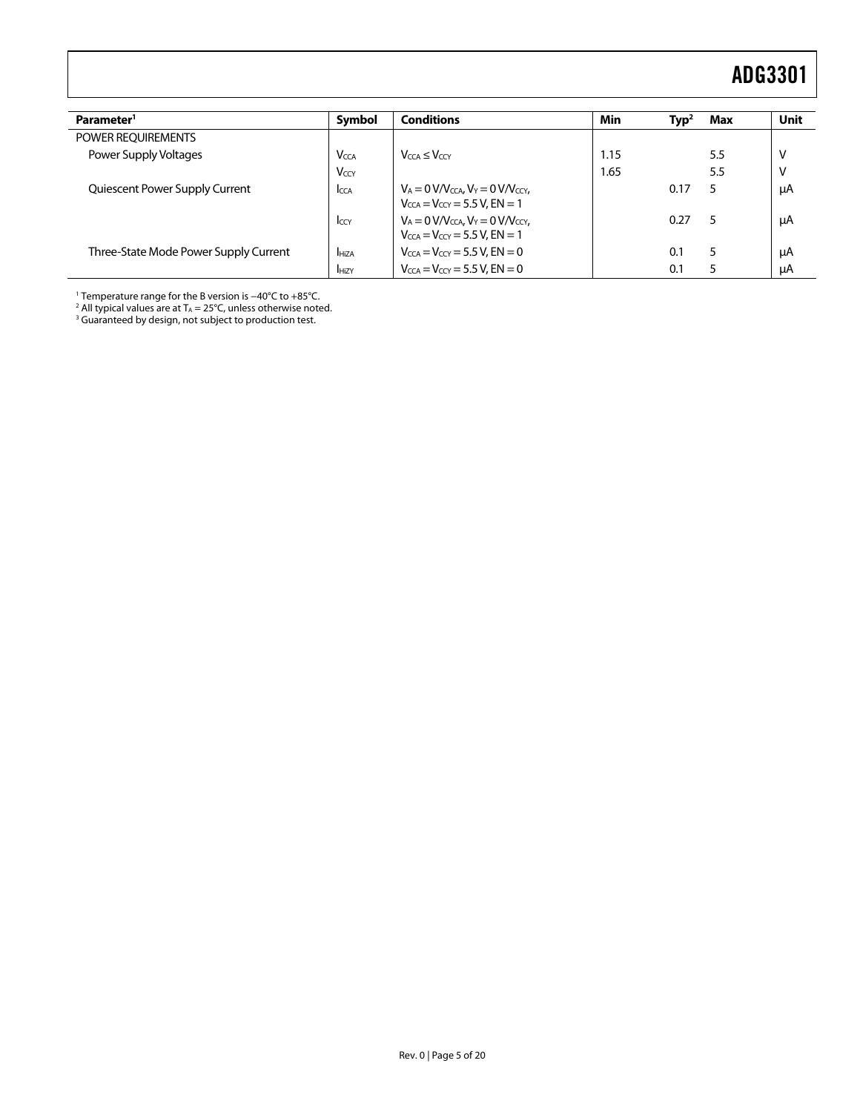| Parameter <sup>1</sup>                | <b>Symbol</b>           | <b>Conditions</b>                                                                                     | <b>Min</b> | Typ <sup>2</sup> | Max | <b>Unit</b> |
|---------------------------------------|-------------------------|-------------------------------------------------------------------------------------------------------|------------|------------------|-----|-------------|
| POWER REQUIREMENTS                    |                         |                                                                                                       |            |                  |     |             |
| Power Supply Voltages                 | <b>V</b> <sub>CCA</sub> | $V_{CCA} \leq V_{CCY}$                                                                                | 1.15       |                  | 5.5 | ٧           |
|                                       | V <sub>CCY</sub>        |                                                                                                       | 1.65       |                  | 5.5 | ١           |
| Quiescent Power Supply Current        | <b>ICCA</b>             | $V_A = 0 V/V_{CCA}$ , $V_Y = 0 V/V_{CCY}$ ,<br>$V_{CCA} = V_{CCY} = 5.5 V$ , EN = 1                   |            | 0.17             | 5   | μA          |
|                                       | Iccy                    | $V_A = 0$ V/V <sub>CCA</sub> , $V_Y = 0$ V/V <sub>CCY</sub> ,<br>$V_{CCA} = V_{CCY} = 5.5 V$ , EN = 1 |            | 0.27             | 5   | μA          |
| Three-State Mode Power Supply Current | <b>HiZA</b>             | $V_{CCA} = V_{CCY} = 5.5 V$ , EN = 0                                                                  |            | 0.1              | 5   | μA          |
|                                       | <b>HiZY</b>             | $V_{CCA} = V_{CCY} = 5.5 V$ . EN $= 0$                                                                |            | 0.1              | 5   | μA          |

<span id="page-4-0"></span>1 Temperature range for the B version is −40°C to +85°C. 2

 $^2$  All typical values are at T $_{\rm A}$  = 25°C, unless otherwise noted.<br><sup>3</sup> Guaranteed by design, not subject to production test.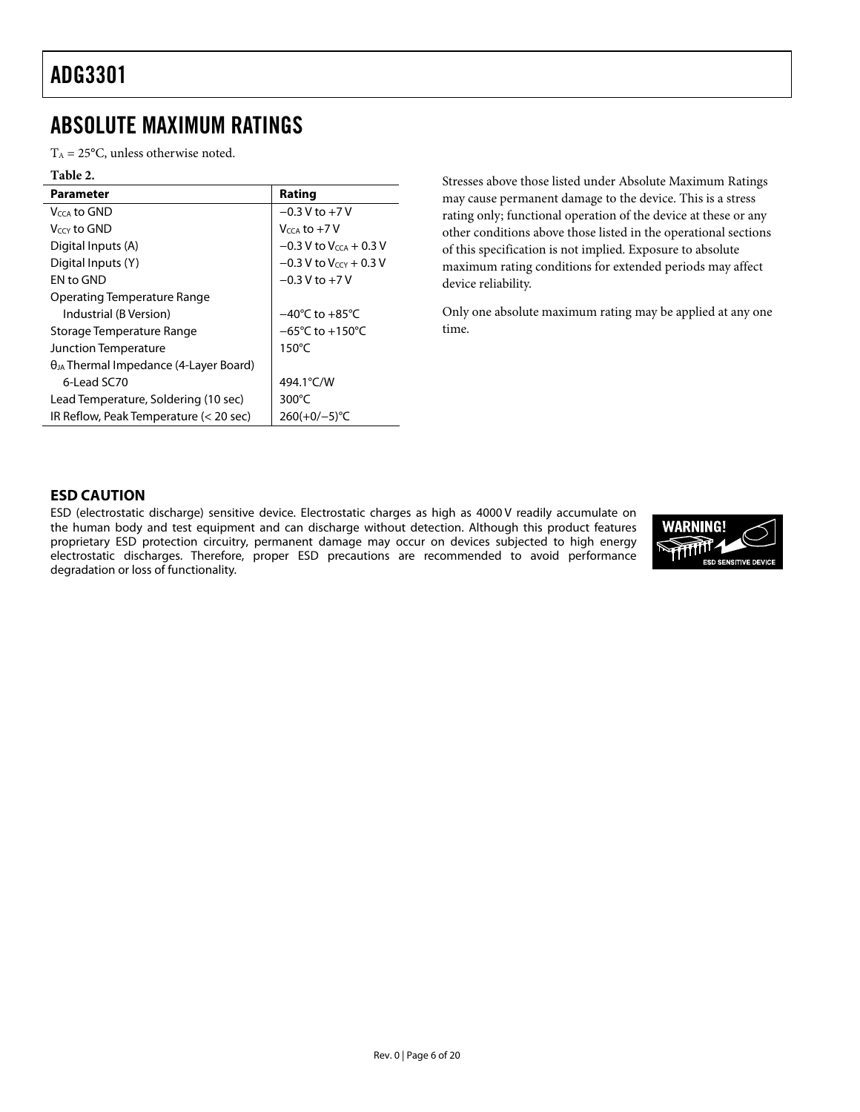### <span id="page-5-1"></span><span id="page-5-0"></span>ABSOLUTE MAXIMUM RATINGS

 $T_A = 25$ °C, unless otherwise noted.

#### **Table 2.**

| Parameter                                       | Rating                               |
|-------------------------------------------------|--------------------------------------|
| Veca to GND                                     | $-0.3 V$ to $+7V$                    |
| Vccy to GND                                     | $V_{CCA}$ to $+7$ V                  |
| Digital Inputs (A)                              | $-0.3$ V to V <sub>CCA</sub> + 0.3 V |
| Digital Inputs (Y)                              | $-0.3$ V to V <sub>CCY</sub> + 0.3 V |
| <b>FN</b> to GND                                | $-0.3$ V to $+7$ V                   |
| <b>Operating Temperature Range</b>              |                                      |
| Industrial (B Version)                          | $-40^{\circ}$ C to $+85^{\circ}$ C   |
| Storage Temperature Range                       | $-65^{\circ}$ C to $+150^{\circ}$ C  |
| Junction Temperature                            | $150^{\circ}$ C                      |
| $\theta_{JA}$ Thermal Impedance (4-Layer Board) |                                      |
| $6$ -Lead SC70                                  | 494.1°C/W                            |
| Lead Temperature, Soldering (10 sec)            | $300^{\circ}$ C                      |
| IR Reflow, Peak Temperature (< 20 sec)          | $260(+0/-5)$ °C                      |

Stresses above those listed under Absolute Maximum Ratings may cause permanent damage to the device. This is a stress rating only; functional operation of the device at these or any other conditions above those listed in the operational sections of this specification is not implied. Exposure to absolute maximum rating conditions for extended periods may affect device reliability.

Only one absolute maximum rating may be applied at any one time.

#### **ESD CAUTION**

ESD (electrostatic discharge) sensitive device. Electrostatic charges as high as 4000 V readily accumulate on the human body and test equipment and can discharge without detection. Although this product features proprietary ESD protection circuitry, permanent damage may occur on devices subjected to high energy electrostatic discharges. Therefore, proper ESD precautions are recommended to avoid performance degradation or loss of functionality.

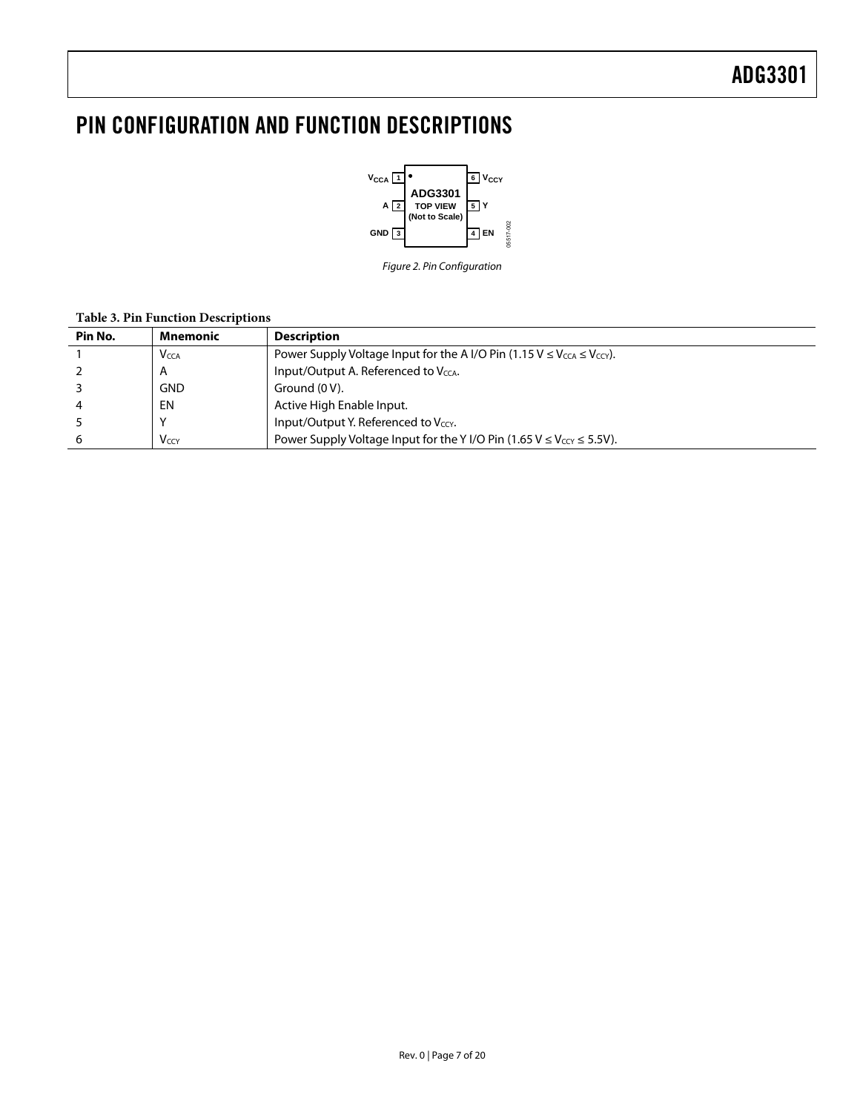## <span id="page-6-0"></span>PIN CONFIGURATION AND FUNCTION DESCRIPTIONS



Figure 2. Pin Configuration

#### **Table 3. Pin Function Descriptions**

| Pin No. | Mnemonic                | <b>Description</b>                                                                                      |
|---------|-------------------------|---------------------------------------------------------------------------------------------------------|
|         | <b>V</b> <sub>CCA</sub> | Power Supply Voltage Input for the A I/O Pin (1.15 V $\leq$ V <sub>CCA</sub> $\leq$ V <sub>CCY</sub> ). |
|         | $\overline{A}$          | Input/Output A. Referenced to V <sub>CCA</sub> .                                                        |
|         | <b>GND</b>              | Ground (0 V).                                                                                           |
|         | EN                      | Active High Enable Input.                                                                               |
|         |                         | Input/Output Y. Referenced to $V_{ccY}$ .                                                               |
| 6       | <b>V</b> <sub>CCY</sub> | Power Supply Voltage Input for the Y I/O Pin (1.65 $V \leq V_{CCY} \leq 5.5V$ ).                        |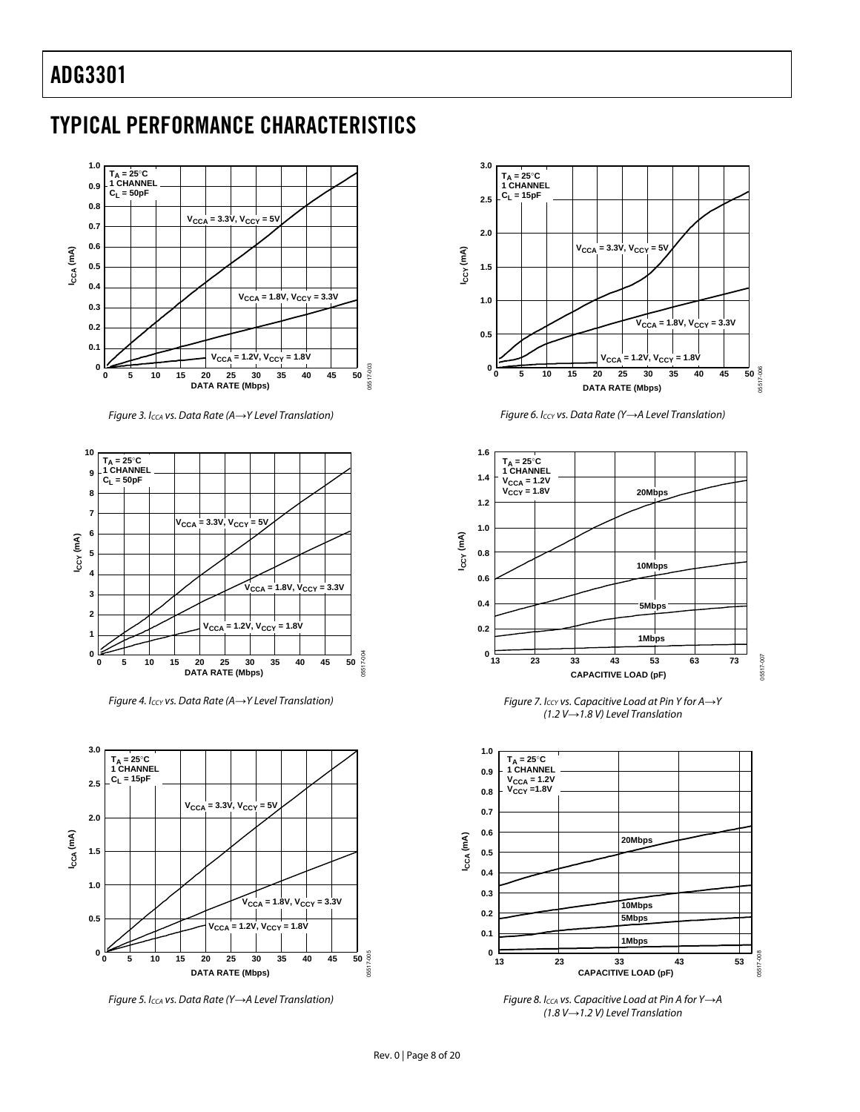### <span id="page-7-0"></span>TYPICAL PERFORMANCE CHARACTERISTICS



Figure 3. ICCA vs. Data Rate (A*→*Y Level Translation)



Figure 4. I<sub>CCY</sub> vs. Data Rate (A→Y Level Translation)



Figure 5. I<sub>CCA</sub> vs. Data Rate (Y→A Level Translation)



Figure 6. I<sub>CCY</sub> vs. Data Rate (Y→A Level Translation)



Figure 7. ICCY vs. Capacitive Load at Pin Y for A*→*Y (1.2 V*→*1.8 V) Level Translation



Figure 8. ICCA vs. Capacitive Load at Pin A for Y*→*A (1.8 V*→*1.2 V) Level Translation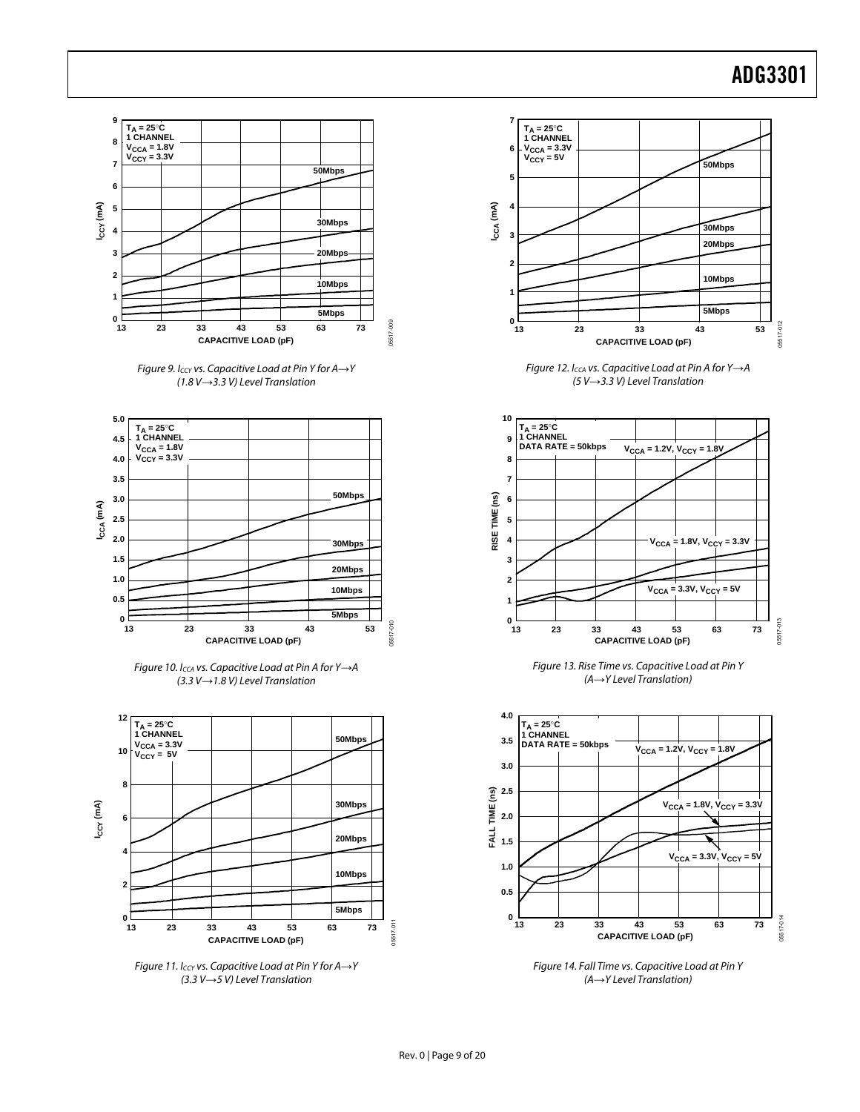05517-012

05517-012

05517-013

05517-013

05517-014

05517-014



Figure 11. ICCY vs. Capacitive Load at Pin Y for A*→*Y (3.3 V*→*5 V) Level Translation

Figure 14. Fall Time vs. Capacitive Load at Pin Y (A*→*Y Level Translation)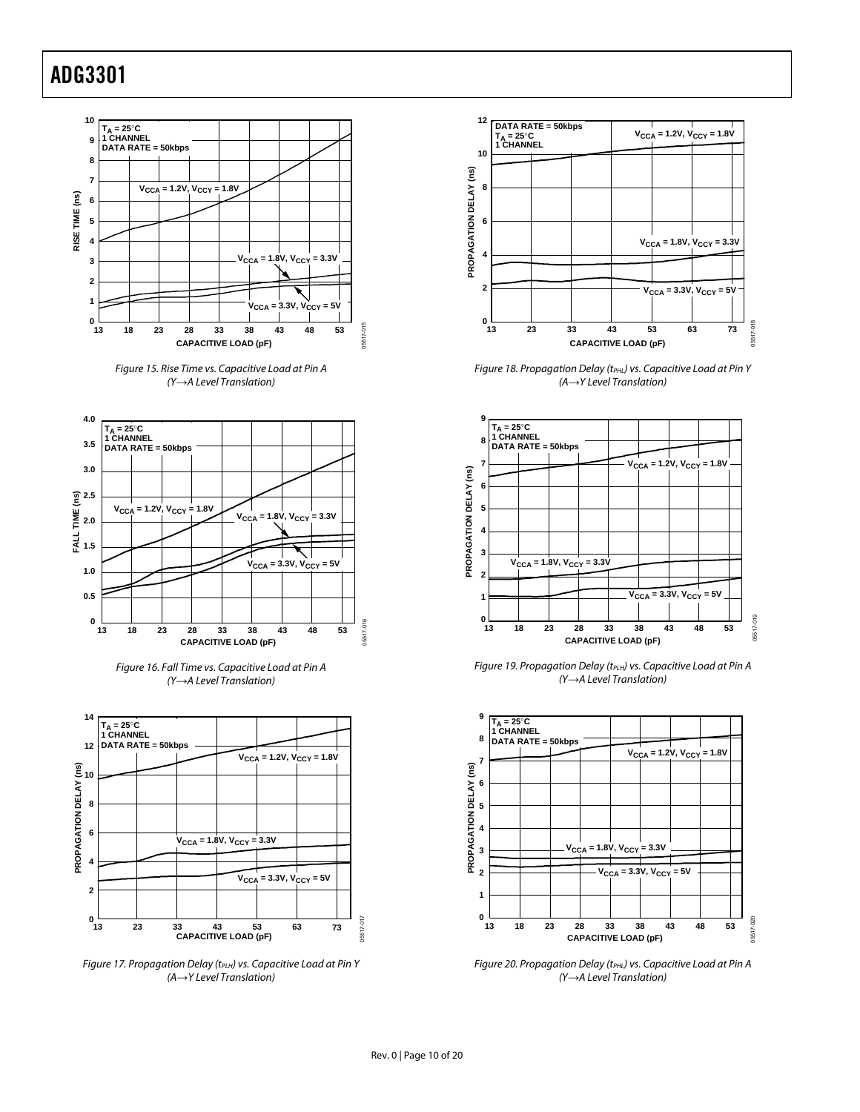









Figure 17. Propagation Delay (t<sub>PLH</sub>) vs. Capacitive Load at Pin Y (A*→*Y Level Translation)



Figure 18. Propagation Delay (tPHL) vs. Capacitive Load at Pin Y (A*→*Y Level Translation)



Figure 19. Propagation Delay (t<sub>PLH</sub>) vs. Capacitive Load at Pin A (Y*→*A Level Translation)



Figure 20. Propagation Delay (tPHL) vs. Capacitive Load at Pin A (Y*→*A Level Translation)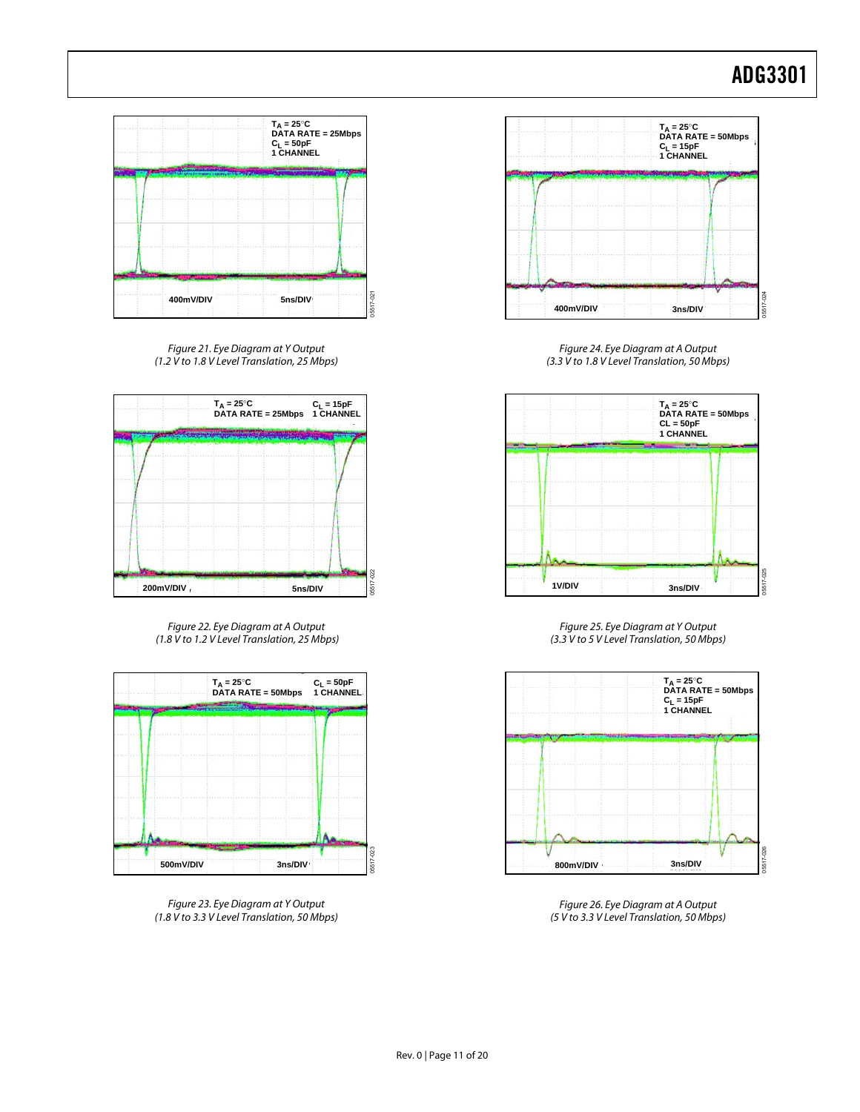

Figure 21. Eye Diagram at Y Output (1.2 V to 1.8 V Level Translation, 25 Mbps)



Figure 22. Eye Diagram at A Output (1.8 V to 1.2 V Level Translation, 25 Mbps)



Figure 23. Eye Diagram at Y Output (1.8 V to 3.3 V Level Translation, 50 Mbps)



Figure 24. Eye Diagram at A Output (3.3 V to 1.8 V Level Translation, 50 Mbps)



Figure 25. Eye Diagram at Y Output (3.3 V to 5 V Level Translation, 50 Mbps)



Figure 26. Eye Diagram at A Output (5 V to 3.3 V Level Translation, 50 Mbps)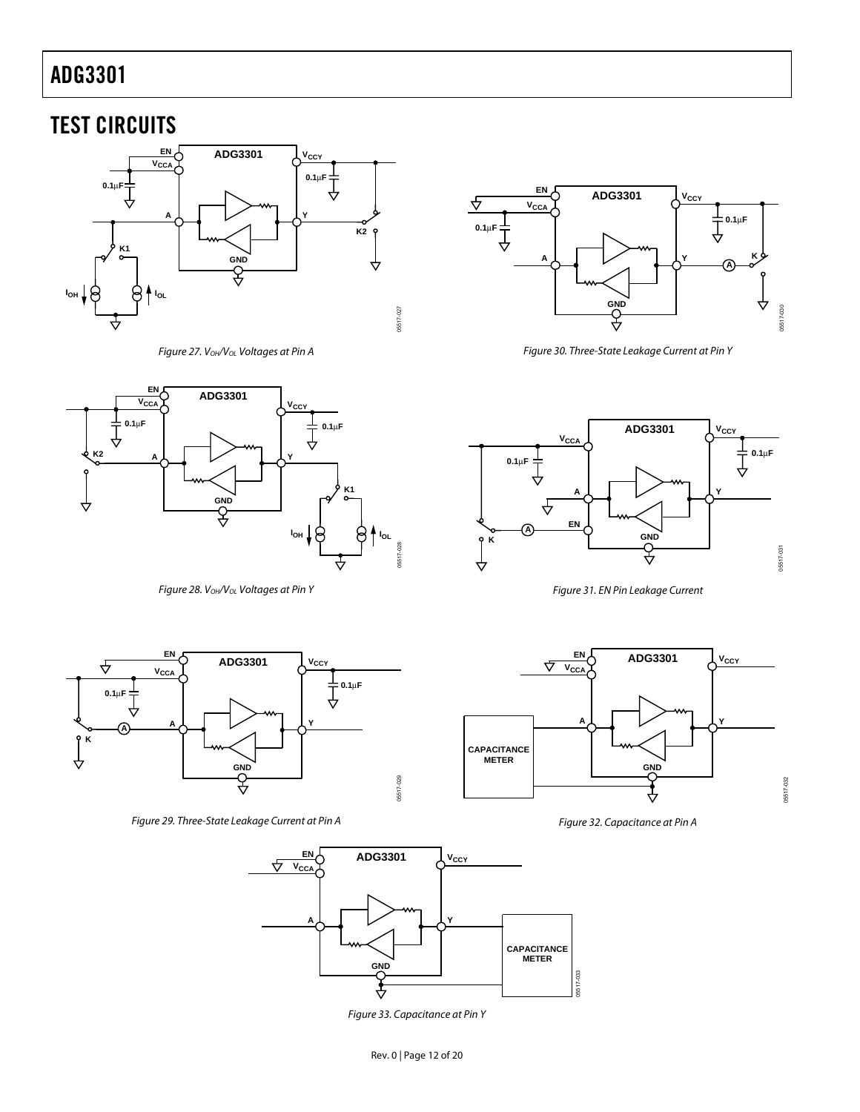### <span id="page-11-0"></span>TEST CIRCUITS



<span id="page-11-1"></span>Figure 27. V<sub>OH</sub>/V<sub>OL</sub> Voltages at Pin A



<span id="page-11-4"></span>Figure 28. V<sub>OH</sub>/V<sub>OL</sub> Voltages at Pin Y



<span id="page-11-6"></span>Figure 30. Three-State Leakage Current at Pin Y



<span id="page-11-7"></span>Figure 31. EN Pin Leakage Current



<span id="page-11-3"></span>Figure 29. Three-State Leakage Current at Pin A



<span id="page-11-5"></span>Figure 33. Capacitance at Pin Y



<span id="page-11-2"></span>Figure 32. Capacitance at Pin A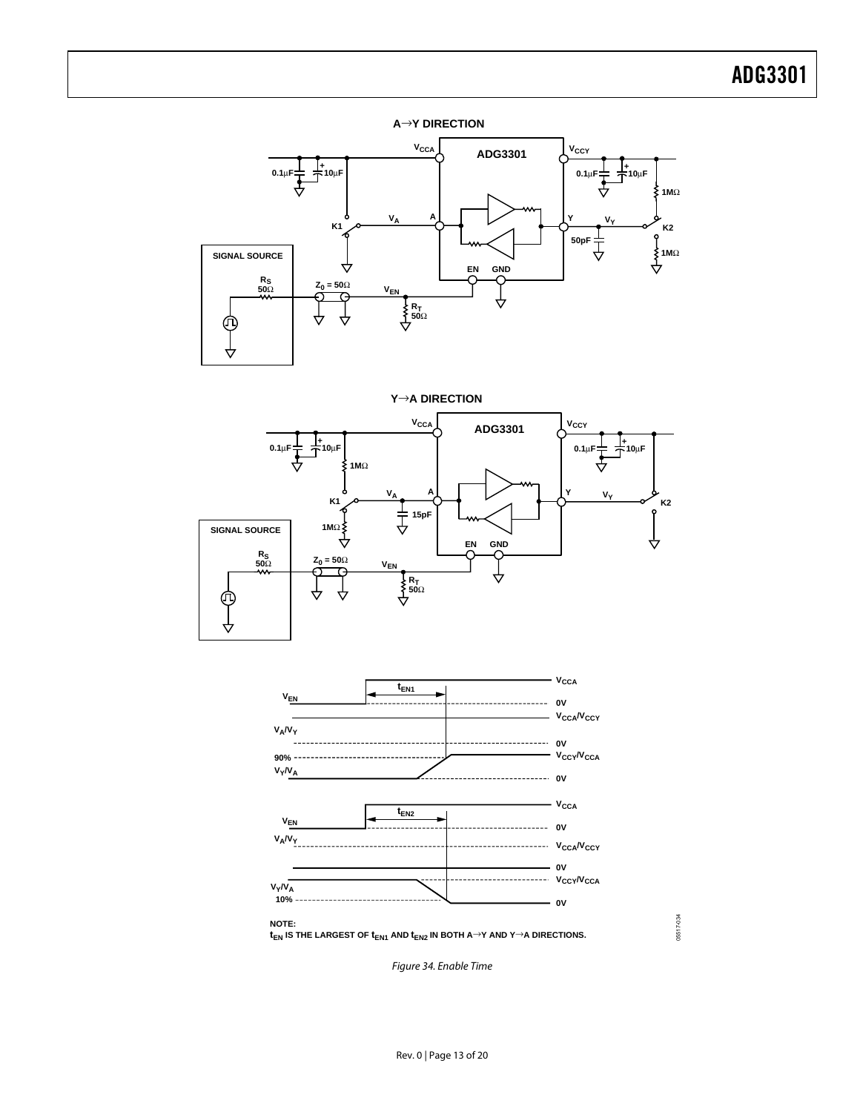#### **A**→**Y DIRECTION**



**Y**→**A DIRECTION**





05517-034 05517-034

<span id="page-12-0"></span>Figure 34. Enable Time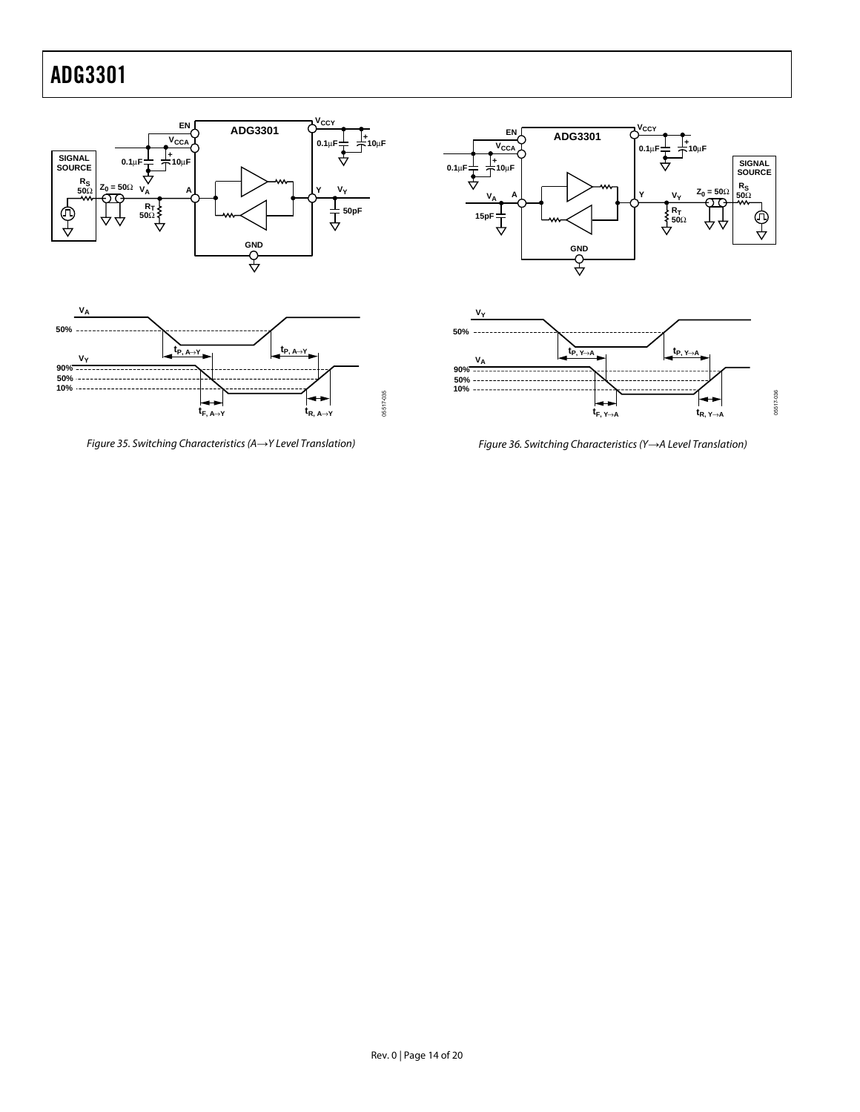

<span id="page-13-0"></span>Figure 35. Switching Characteristics (A*→*Y Level Translation)



<span id="page-13-1"></span>Figure 36. Switching Characteristics (Y*→*A Level Translation)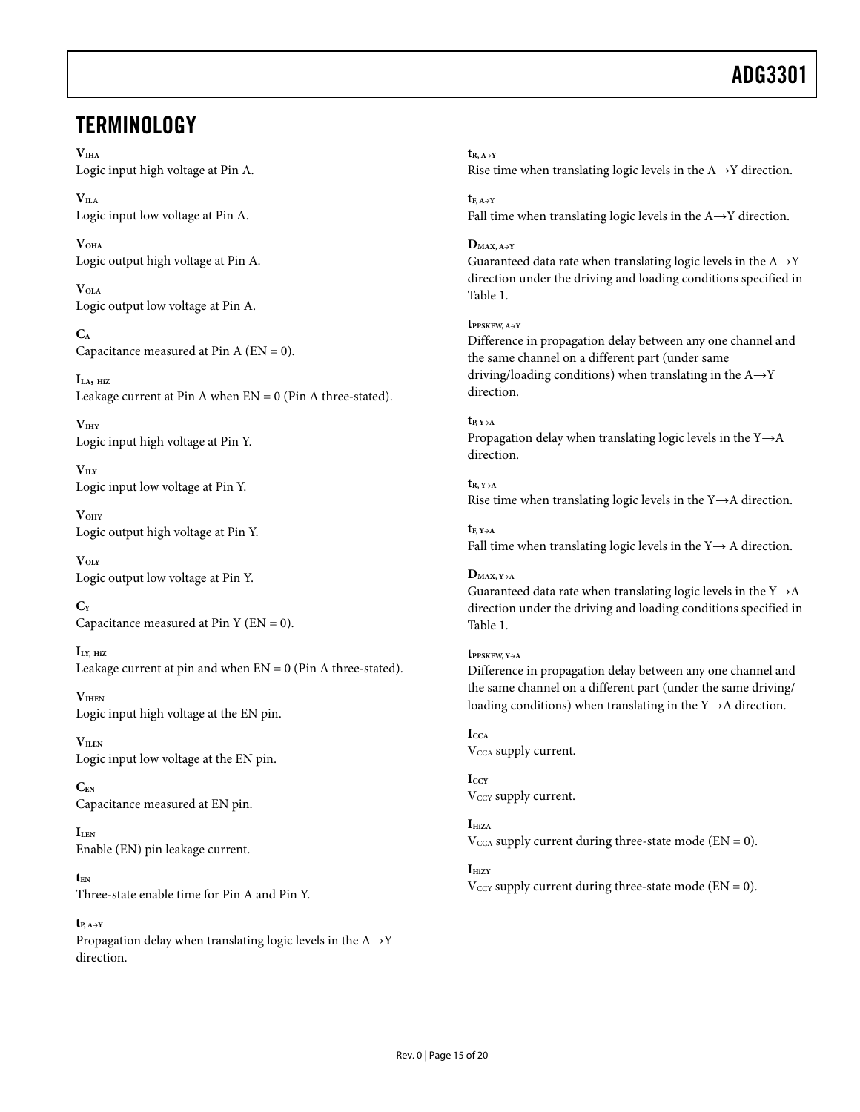### <span id="page-14-0"></span>**TERMINOLOGY**

**VIHA** Logic input high voltage at Pin A.

 $V<sub>IIA</sub>$ Logic input low voltage at Pin A.

**VOHA** Logic output high voltage at Pin A.

**VOLA** Logic output low voltage at Pin A.

**CA** Capacitance measured at Pin A  $(EN = 0)$ .

**ILA, HiZ** Leakage current at Pin A when  $EN = 0$  (Pin A three-stated).

**VIHY** Logic input high voltage at Pin Y.

 $V<sub>ILY</sub>$ Logic input low voltage at Pin Y.

**VOHY**  Logic output high voltage at Pin Y.

 $V<sub>OLY</sub>$ Logic output low voltage at Pin Y.

**CY** Capacitance measured at Pin Y ( $EN = 0$ ).

**ILY, HiZ** Leakage current at pin and when  $EN = 0$  (Pin A three-stated).

**VIHEN** Logic input high voltage at the EN pin.

**VILEN** Logic input low voltage at the EN pin.

**CEN** Capacitance measured at EN pin.

**ILEN** Enable (EN) pin leakage current.

**tEN** Three-state enable time for Pin A and Pin Y.

 $t_{P A \rightarrow V}$ Propagation delay when translating logic levels in the A→Y direction.

**tR, A→Y** Rise time when translating logic levels in the  $A \rightarrow Y$  direction.

 $t_{\rm F, A \rightarrow V}$ Fall time when translating logic levels in the A→Y direction.

**DMAX, A→Y** 

Guaranteed data rate when translating logic levels in the  $A \rightarrow Y$ direction under the driving and loading conditions specified in [Table 1.](#page-2-2) 

#### **tPPSKEW, A→Y**

Difference in propagation delay between any one channel and the same channel on a different part (under same driving/loading conditions) when translating in the  $A \rightarrow Y$ direction.

 $t_{P, Y\rightarrow A}$ Propagation delay when translating logic levels in the Y→A direction.

 $t_{R}$ ,  $v_{\rightarrow A}$ Rise time when translating logic levels in the  $Y \rightarrow A$  direction.

**tF, Y→A**  Fall time when translating logic levels in the  $Y \rightarrow A$  direction.

**DMAX, Y→A**  Guaranteed data rate when translating logic levels in the  $Y\rightarrow A$ direction under the driving and loading conditions specified in [Table 1.](#page-2-2)

**tPPSKEW, Y→A**  Difference in propagation delay between any one channel and the same channel on a different part (under the same driving/ loading conditions) when translating in the Y→A direction.

**ICCA**  V<sub>CCA</sub> supply current.

 $I_{CCY}$ V<sub>CCY</sub> supply current.

 $I<sub>HiZA</sub>$  $V_{\text{CCA}}$  supply current during three-state mode (EN = 0).

 $I_{\text{HiZY}}$  $V_{\text{CCY}}$  supply current during three-state mode (EN = 0).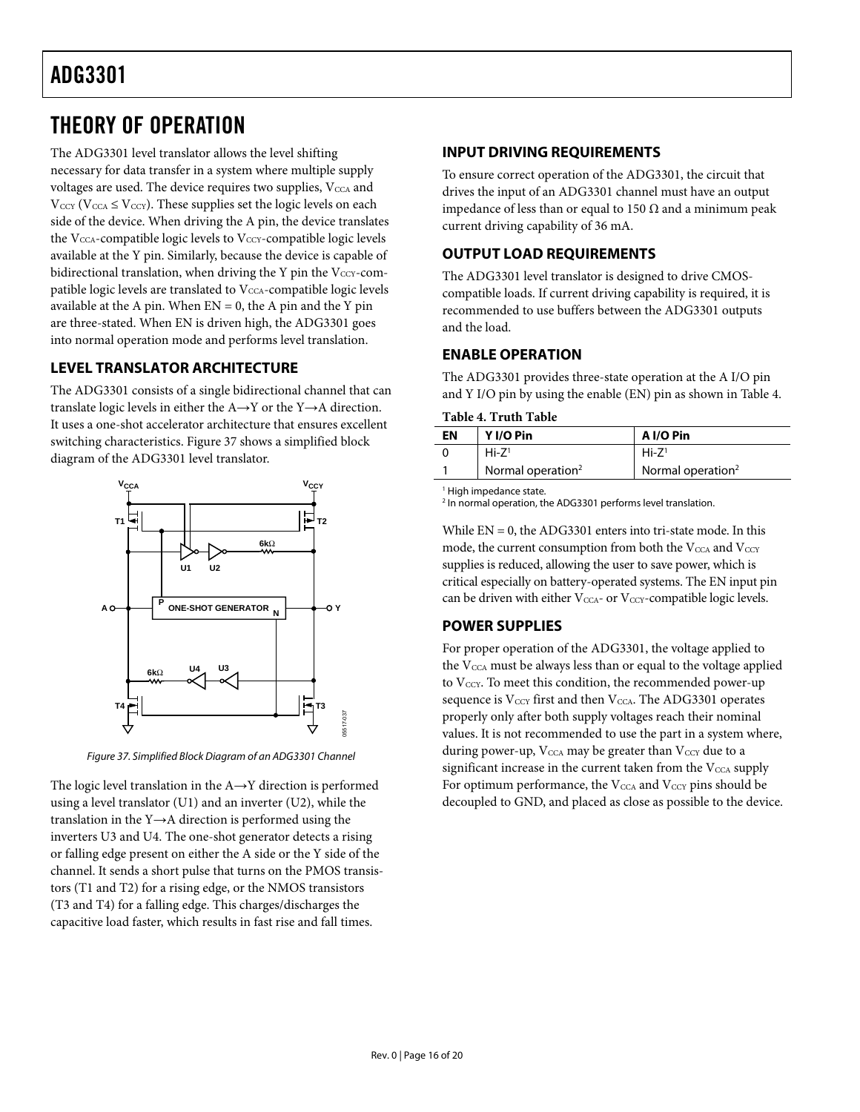### <span id="page-15-0"></span>THEORY OF OPERATION

The ADG3301 level translator allows the level shifting necessary for data transfer in a system where multiple supply voltages are used. The device requires two supplies,  $V_{\text{CCA}}$  and  $V_{\text{CCY}}$  ( $V_{\text{CCA}} \leq V_{\text{CCY}}$ ). These supplies set the logic levels on each side of the device. When driving the A pin, the device translates the V<sub>CCA</sub>-compatible logic levels to V<sub>CCY</sub>-compatible logic levels available at the Y pin. Similarly, because the device is capable of bidirectional translation, when driving the Y pin the  $V_{\text{CCY}}$ -compatible logic levels are translated to  $V_{\text{CCA}}$ -compatible logic levels available at the A pin. When  $EN = 0$ , the A pin and the Y pin are three-stated. When EN is driven high, the ADG3301 goes into normal operation mode and performs level translation.

### **LEVEL TRANSLATOR ARCHITECTURE**

The ADG3301 consists of a single bidirectional channel that can translate logic levels in either the  $A \rightarrow Y$  or the Y $\rightarrow A$  direction. It uses a one-shot accelerator architecture that ensures excellent switching characteristics. [Figure 37 s](#page-15-1)hows a simplified block diagram of the ADG3301 level translator.



<span id="page-15-1"></span>Figure 37. Simplified Block Diagram of an ADG3301 Channel

The logic level translation in the  $A \rightarrow Y$  direction is performed using a level translator (U1) and an inverter (U2), while the translation in the Y→A direction is performed using the inverters U3 and U4. The one-shot generator detects a rising or falling edge present on either the A side or the Y side of the channel. It sends a short pulse that turns on the PMOS transistors (T1 and T2) for a rising edge, or the NMOS transistors (T3 and T4) for a falling edge. This charges/discharges the capacitive load faster, which results in fast rise and fall times.

### **INPUT DRIVING REQUIREMENTS**

To ensure correct operation of the ADG3301, the circuit that drives the input of an ADG3301 channel must have an output impedance of less than or equal to 150 Ω and a minimum peak current driving capability of 36 mA.

### **OUTPUT LOAD REQUIREMENTS**

The ADG3301 level translator is designed to drive CMOScompatible loads. If current driving capability is required, it is recommended to use buffers between the ADG3301 outputs and the load.

### **ENABLE OPERATION**

The ADG3301 provides three-state operation at the A I/O pin and Y I/O pin by using the enable (EN) pin as shown in [Table 4.](#page-15-2) 

<span id="page-15-2"></span>**Table 4. Truth Table** 

| EN | Y I/O Pin                     | A I/O Pin            |
|----|-------------------------------|----------------------|
|    | $Hi - 71$                     | $Hi-Z^1$             |
|    | Normal operation <sup>2</sup> | Normal operation $2$ |

1 High impedance state.

2 In normal operation, the ADG3301 performs level translation.

While  $EN = 0$ , the ADG3301 enters into tri-state mode. In this mode, the current consumption from both the  $V_{\text{CCA}}$  and  $V_{\text{CCY}}$ supplies is reduced, allowing the user to save power, which is critical especially on battery-operated systems. The EN input pin can be driven with either  $V_{\text{CCA}}$ - or  $V_{\text{CCY}}$ -compatible logic levels.

### **POWER SUPPLIES**

For proper operation of the ADG3301, the voltage applied to the  $V_{\text{CCA}}$  must be always less than or equal to the voltage applied to V<sub>CCY</sub>. To meet this condition, the recommended power-up sequence is  $V_{\text{CCY}}$  first and then  $V_{\text{CCA}}$ . The ADG3301 operates properly only after both supply voltages reach their nominal values. It is not recommended to use the part in a system where, during power-up,  $V_{\text{CCA}}$  may be greater than  $V_{\text{CCY}}$  due to a significant increase in the current taken from the  $V_{\text{CCA}}$  supply For optimum performance, the  $V_{\text{CCA}}$  and  $V_{\text{CCY}}$  pins should be decoupled to GND, and placed as close as possible to the device.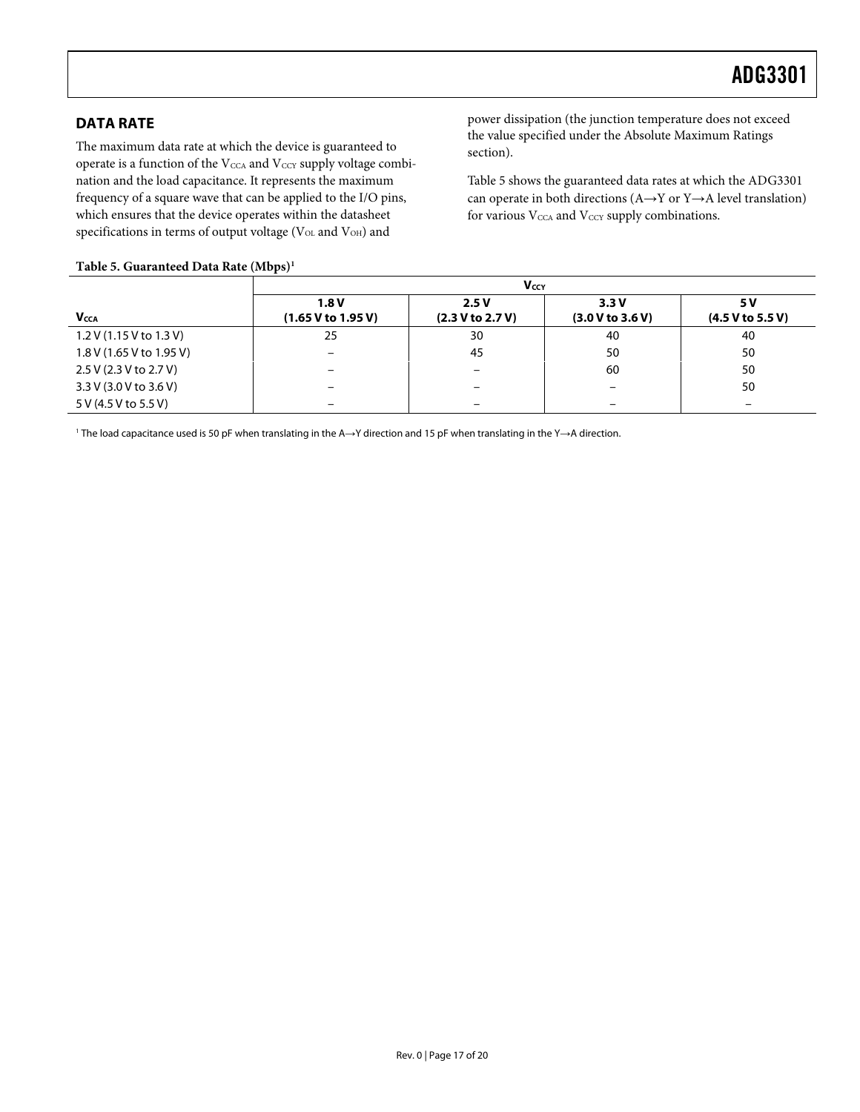### <span id="page-16-0"></span>**DATA RATE**

The maximum data rate at which the device is guaranteed to operate is a function of the  $V_{\text{CCA}}$  and  $V_{\text{CCY}}$  supply voltage combination and the load capacitance. It represents the maximum frequency of a square wave that can be applied to the I/O pins, which ensures that the device operates within the datasheet specifications in terms of output voltage ( $V_{OL}$  and  $V_{OH}$ ) and

power dissipation (the junction temperature does not exceed the value specified under the [Absolute Maximum Ratings](#page-5-1)  section).

[Table 5 s](#page-16-1)hows the guaranteed data rates at which the ADG3301 can operate in both directions ( $A \rightarrow Y$  or  $Y \rightarrow A$  level translation) for various  $\rm V_{\rm CCA}$  and  $\rm V_{\rm CCY}$  supply combinations.

#### <span id="page-16-1"></span>**Table 5. Guaranteed Data Rate (Mbps[\)1](#page-16-2)**

|                          | Vccy                       |                          |                          |                         |  |
|--------------------------|----------------------------|--------------------------|--------------------------|-------------------------|--|
| <b>Vcca</b>              | 1.8V<br>(1.65 V to 1.95 V) | 2.5V<br>(2.3 V to 2.7 V) | 3.3V<br>(3.0 V to 3.6 V) | 5 V<br>(4.5 V to 5.5 V) |  |
| 1.2 V (1.15 V to 1.3 V)  | 25                         | 30                       | 40                       | 40                      |  |
| 1.8 V (1.65 V to 1.95 V) |                            | 45                       | 50                       | 50                      |  |
| 2.5 V (2.3 V to 2.7 V)   |                            |                          | 60                       | 50                      |  |
| 3.3 V (3.0 V to 3.6 V)   |                            | -                        | $\overline{\phantom{m}}$ | 50                      |  |
| 5 V (4.5 V to 5.5 V)     |                            |                          | -                        | -                       |  |

<span id="page-16-2"></span>1 The load capacitance used is 50 pF when translating in the A→Y direction and 15 pF when translating in the Y→A direction.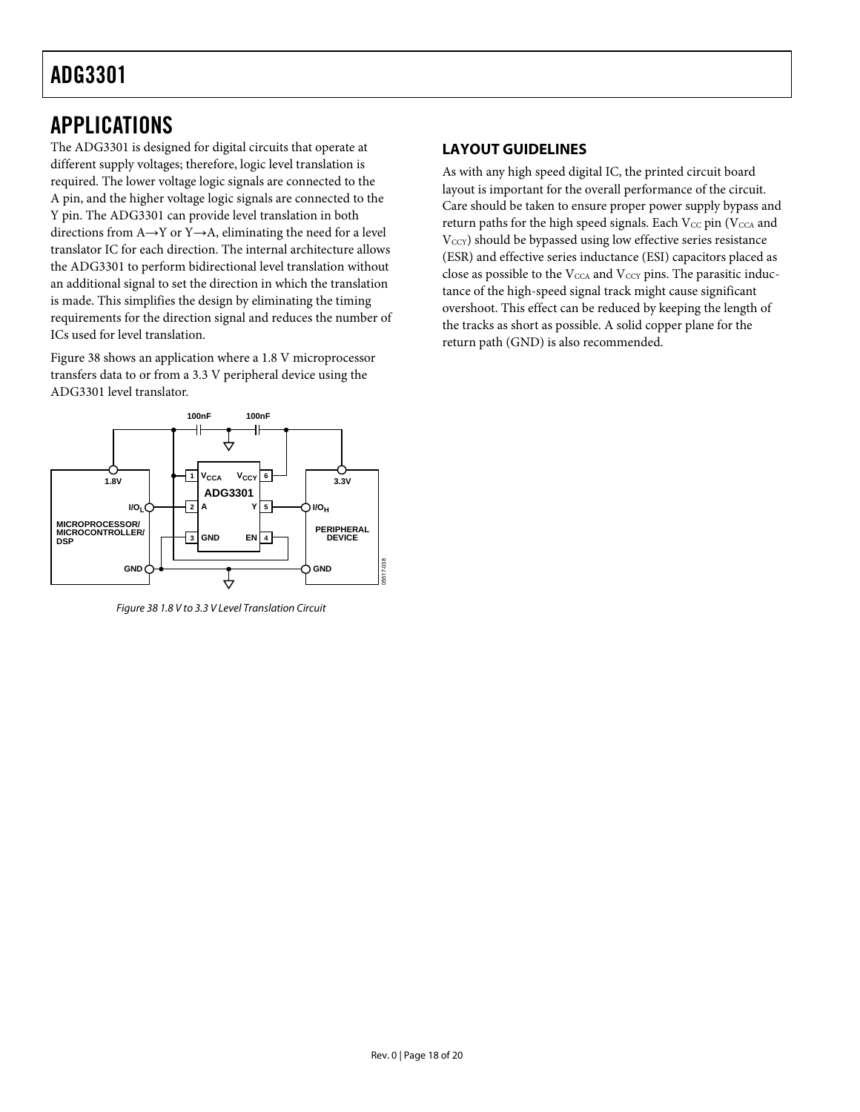### <span id="page-17-0"></span>APPLICATIONS

The ADG3301 is designed for digital circuits that operate at different supply voltages; therefore, logic level translation is required. The lower voltage logic signals are connected to the A pin, and the higher voltage logic signals are connected to the Y pin. The ADG3301 can provide level translation in both directions from A→Y or Y→A, eliminating the need for a level translator IC for each direction. The internal architecture allows the ADG3301 to perform bidirectional level translation without an additional signal to set the direction in which the translation is made. This simplifies the design by eliminating the timing requirements for the direction signal and reduces the number of ICs used for level translation.

[Figure 38 s](#page-17-1)hows an application where a 1.8 V microprocessor transfers data to or from a 3.3 V peripheral device using the ADG3301 level translator.



<span id="page-17-1"></span>Figure 38 1.8 V to 3.3 V Level Translation Circuit

### **LAYOUT GUIDELINES**

As with any high speed digital IC, the printed circuit board layout is important for the overall performance of the circuit. Care should be taken to ensure proper power supply bypass and return paths for the high speed signals. Each  $V_{CC}$  pin ( $V_{CCA}$  and V<sub>CCY</sub>) should be bypassed using low effective series resistance (ESR) and effective series inductance (ESI) capacitors placed as close as possible to the  $V_{\text{CCA}}$  and  $V_{\text{CCY}}$  pins. The parasitic inductance of the high-speed signal track might cause significant overshoot. This effect can be reduced by keeping the length of the tracks as short as possible. A solid copper plane for the return path (GND) is also recommended.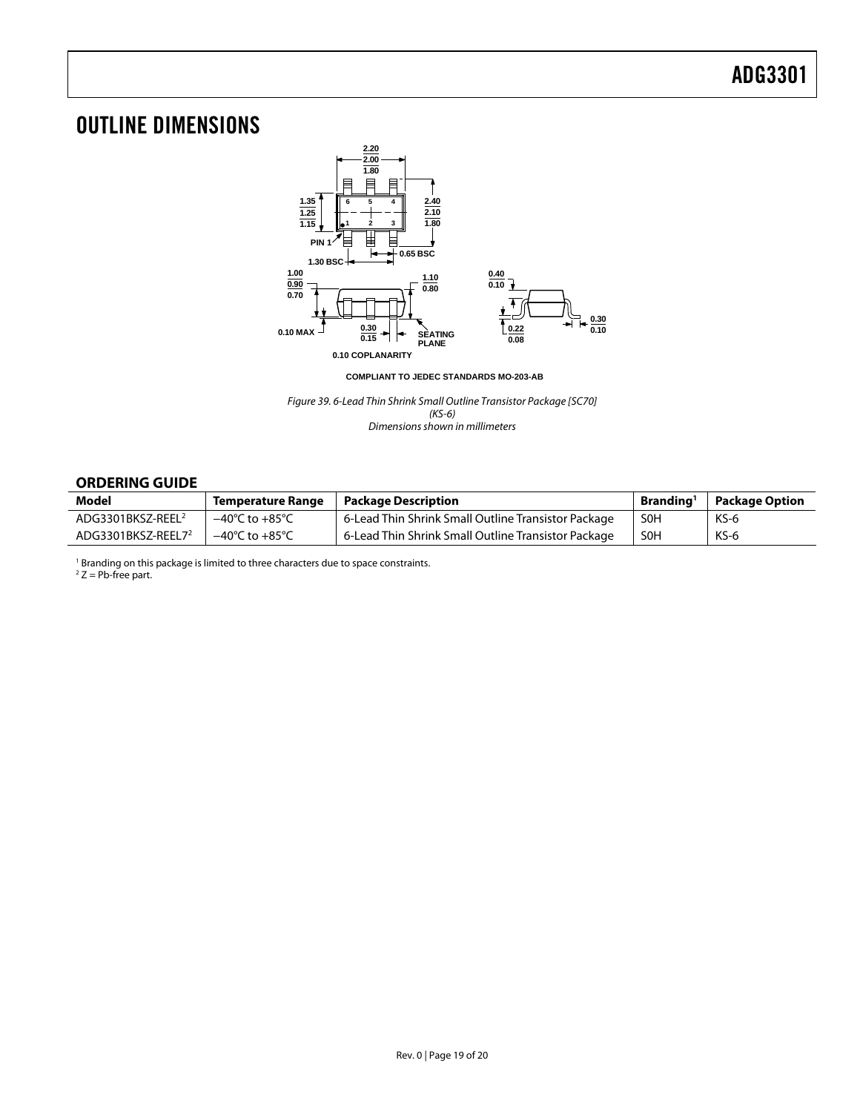### <span id="page-18-0"></span>OUTLINE DIMENSIONS



**COMPLIANT TO JEDEC STANDARDS MO-203-AB**

Figure 39. 6-Lead Thin Shrink Small Outline Transistor Package [SC70] (KS-6) Dimensions shown in millimeters

### **ORDERING GUIDE**

<span id="page-18-2"></span><span id="page-18-1"></span>

| <b>Model</b>                   | Temperature Range                  | Package Description                                 | Branding <sup>1</sup> | <b>Package Option</b> |
|--------------------------------|------------------------------------|-----------------------------------------------------|-----------------------|-----------------------|
| ADG3301BKSZ-REEL <sup>2</sup>  | $-40^{\circ}$ C to $+85^{\circ}$ C | 6-Lead Thin Shrink Small Outline Transistor Package | <b>SOH</b>            | $KS-6$                |
| ADG3301BKSZ-REEL7 <sup>2</sup> | $-40^{\circ}$ C to $+85^{\circ}$ C | 6-Lead Thin Shrink Small Outline Transistor Package | <b>SOH</b>            | KS-6                  |

<sup>1</sup> Branding on this package is limited to three characters due to space constraints.<br><sup>2</sup> 7 – Ph-free part

 $2 Z = Pb$ -free part.